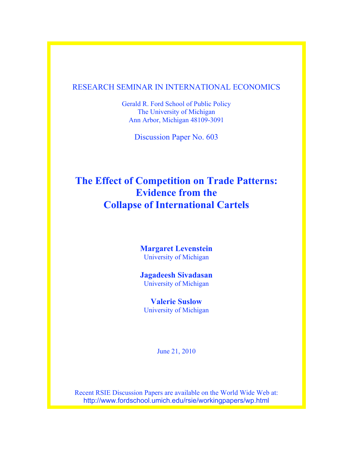### RESEARCH SEMINAR IN INTERNATIONAL ECONOMICS

Gerald R. Ford School of Public Policy The University of Michigan Ann Arbor, Michigan 48109-3091

Discussion Paper No. 603

# **The Effect of Competition on Trade Patterns: Evidence from the Collapse of International Cartels**

**Margaret Levenstein** University of Michigan

**Jagadeesh Sivadasan** University of Michigan

**Valerie Suslow** University of Michigan

June 21, 2010

Recent RSIE Discussion Papers are available on the World Wide Web at: http://www.fordschool.umich.edu/rsie/workingpapers/wp.html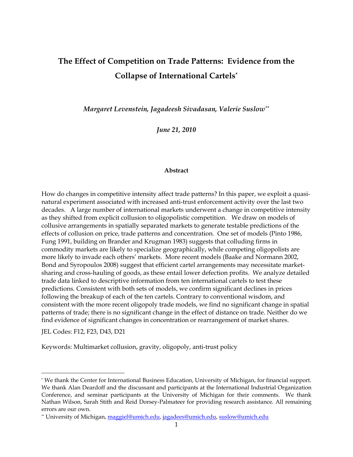# **The Effect of Competition on Trade Patterns: Evidence from the Collapse of International Cartels\***

*Margaret Levenstein, Jagadeesh Sivadasan, Valerie Suslow\*\**

*June 21, 2010* 

#### **Abstract**

How do changes in competitive intensity affect trade patterns? In this paper, we exploit a quasinatural experiment associated with increased anti-trust enforcement activity over the last two decades. A large number of international markets underwent a change in competitive intensity as they shifted from explicit collusion to oligopolistic competition. We draw on models of collusive arrangements in spatially separated markets to generate testable predictions of the effects of collusion on price, trade patterns and concentration. One set of models (Pinto 1986, Fung 1991, building on Brander and Krugman 1983) suggests that colluding firms in commodity markets are likely to specialize geographically, while competing oligopolists are more likely to invade each others' markets. More recent models (Baake and Normann 2002, Bond and Syropoulos 2008) suggest that efficient cartel arrangements may necessitate marketsharing and cross-hauling of goods, as these entail lower defection profits. We analyze detailed trade data linked to descriptive information from ten international cartels to test these predictions. Consistent with both sets of models, we confirm significant declines in prices following the breakup of each of the ten cartels. Contrary to conventional wisdom, and consistent with the more recent oligopoly trade models, we find no significant change in spatial patterns of trade; there is no significant change in the effect of distance on trade. Neither do we find evidence of significant changes in concentration or rearrangement of market shares.

JEL Codes: F12, F23, D43, D21

 $\ddot{\phantom{a}}$ 

Keywords: Multimarket collusion, gravity, oligopoly, anti-trust policy

<sup>\*</sup> We thank the Center for International Business Education, University of Michigan, for financial support. We thank Alan Deardoff and the discussant and participants at the International Industrial Organization Conference, and seminar participants at the University of Michigan for their comments. We thank Nathan Wilson, Sarah Stith and Reid Dorsey-Palmateer for providing research assistance. All remaining errors are our own.

<sup>\*\*</sup> University of Michigan, maggiel@umich.edu, jagadees@umich.edu, suslow@umich.edu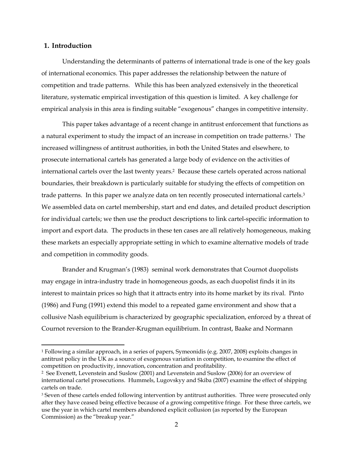### **1. Introduction**

<u>.</u>

Understanding the determinants of patterns of international trade is one of the key goals of international economics. This paper addresses the relationship between the nature of competition and trade patterns. While this has been analyzed extensively in the theoretical literature, systematic empirical investigation of this question is limited. A key challenge for empirical analysis in this area is finding suitable "exogenous" changes in competitive intensity.

This paper takes advantage of a recent change in antitrust enforcement that functions as a natural experiment to study the impact of an increase in competition on trade patterns.<sup>1</sup> The increased willingness of antitrust authorities, in both the United States and elsewhere, to prosecute international cartels has generated a large body of evidence on the activities of international cartels over the last twenty years.2 Because these cartels operated across national boundaries, their breakdown is particularly suitable for studying the effects of competition on trade patterns. In this paper we analyze data on ten recently prosecuted international cartels.3 We assembled data on cartel membership, start and end dates, and detailed product description for individual cartels; we then use the product descriptions to link cartel-specific information to import and export data. The products in these ten cases are all relatively homogeneous, making these markets an especially appropriate setting in which to examine alternative models of trade and competition in commodity goods.

Brander and Krugman's (1983) seminal work demonstrates that Cournot duopolists may engage in intra-industry trade in homogeneous goods, as each duopolist finds it in its interest to maintain prices so high that it attracts entry into its home market by its rival. Pinto (1986) and Fung (1991) extend this model to a repeated game environment and show that a collusive Nash equilibrium is characterized by geographic specialization, enforced by a threat of Cournot reversion to the Brander-Krugman equilibrium. In contrast, Baake and Normann

<sup>1</sup> Following a similar approach, in a series of papers, Symeonidis (e.g. 2007, 2008) exploits changes in antitrust policy in the UK as a source of exogenous variation in competition, to examine the effect of competition on productivity, innovation, concentration and profitability.

<sup>2</sup> See Evenett, Levenstein and Suslow (2001) and Levenstein and Suslow (2006) for an overview of international cartel prosecutions. Hummels, Lugovskyy and Skiba (2007) examine the effect of shipping cartels on trade.

<sup>&</sup>lt;sup>3</sup> Seven of these cartels ended following intervention by antitrust authorities. Three were prosecuted only after they have ceased being effective because of a growing competitive fringe. For these three cartels, we use the year in which cartel members abandoned explicit collusion (as reported by the European Commission) as the "breakup year."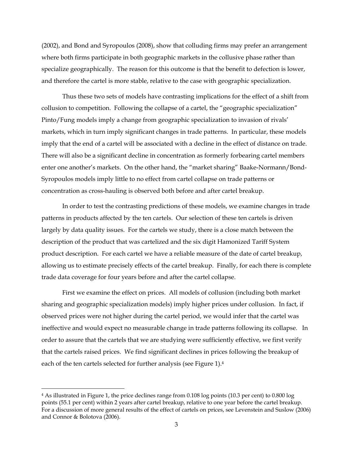(2002), and Bond and Syropoulos (2008), show that colluding firms may prefer an arrangement where both firms participate in both geographic markets in the collusive phase rather than specialize geographically. The reason for this outcome is that the benefit to defection is lower, and therefore the cartel is more stable, relative to the case with geographic specialization.

Thus these two sets of models have contrasting implications for the effect of a shift from collusion to competition. Following the collapse of a cartel, the "geographic specialization" Pinto/Fung models imply a change from geographic specialization to invasion of rivals' markets, which in turn imply significant changes in trade patterns. In particular, these models imply that the end of a cartel will be associated with a decline in the effect of distance on trade. There will also be a significant decline in concentration as formerly forbearing cartel members enter one another's markets. On the other hand, the "market sharing" Baake-Normann/Bond-Syropoulos models imply little to no effect from cartel collapse on trade patterns or concentration as cross-hauling is observed both before and after cartel breakup.

In order to test the contrasting predictions of these models, we examine changes in trade patterns in products affected by the ten cartels. Our selection of these ten cartels is driven largely by data quality issues. For the cartels we study, there is a close match between the description of the product that was cartelized and the six digit Hamonized Tariff System product description. For each cartel we have a reliable measure of the date of cartel breakup, allowing us to estimate precisely effects of the cartel breakup. Finally, for each there is complete trade data coverage for four years before and after the cartel collapse.

First we examine the effect on prices. All models of collusion (including both market sharing and geographic specialization models) imply higher prices under collusion. In fact, if observed prices were not higher during the cartel period, we would infer that the cartel was ineffective and would expect no measurable change in trade patterns following its collapse. In order to assure that the cartels that we are studying were sufficiently effective, we first verify that the cartels raised prices. We find significant declines in prices following the breakup of each of the ten cartels selected for further analysis (see Figure 1).4

-

<sup>4</sup> As illustrated in Figure 1, the price declines range from 0.108 log points (10.3 per cent) to 0.800 log points (55.1 per cent) within 2 years after cartel breakup, relative to one year before the cartel breakup. For a discussion of more general results of the effect of cartels on prices, see Levenstein and Suslow (2006) and Connor & Bolotova (2006).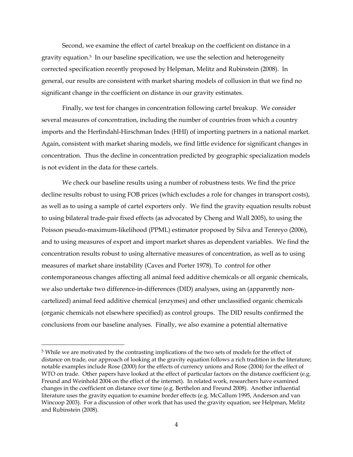Second, we examine the effect of cartel breakup on the coefficient on distance in a gravity equation.5 In our baseline specification, we use the selection and heterogeneity corrected specification recently proposed by Helpman, Melitz and Rubinstein (2008). In general, our results are consistent with market sharing models of collusion in that we find no significant change in the coefficient on distance in our gravity estimates.

Finally, we test for changes in concentration following cartel breakup. We consider several measures of concentration, including the number of countries from which a country imports and the Herfindahl-Hirschman Index (HHI) of importing partners in a national market. Again, consistent with market sharing models, we find little evidence for significant changes in concentration. Thus the decline in concentration predicted by geographic specialization models is not evident in the data for these cartels.

We check our baseline results using a number of robustness tests. We find the price decline results robust to using FOB prices (which excludes a role for changes in transport costs), as well as to using a sample of cartel exporters only. We find the gravity equation results robust to using bilateral trade-pair fixed effects (as advocated by Cheng and Wall 2005), to using the Poisson pseudo-maximum-likelihood (PPML) estimator proposed by Silva and Tenreyo (2006), and to using measures of export and import market shares as dependent variables. We find the concentration results robust to using alternative measures of concentration, as well as to using measures of market share instability (Caves and Porter 1978). To control for other contemporaneous changes affecting all animal feed additive chemicals or all organic chemicals, we also undertake two difference-in-differences (DID) analyses, using an (apparently noncartelized) animal feed additive chemical (enzymes) and other unclassified organic chemicals (organic chemicals not elsewhere specified) as control groups. The DID results confirmed the conclusions from our baseline analyses. Finally, we also examine a potential alternative

-

<sup>5</sup> While we are motivated by the contrasting implications of the two sets of models for the effect of distance on trade, our approach of looking at the gravity equation follows a rich tradition in the literature; notable examples include Rose (2000) for the effects of currency unions and Rose (2004) for the effect of WTO on trade. Other papers have looked at the effect of particular factors on the distance coefficient (e.g. Freund and Weinhold 2004 on the effect of the internet). In related work, researchers have examined changes in the coefficient on distance over time (e.g. Berthelon and Freund 2008). Another influential literature uses the gravity equation to examine border effects (e.g. McCallum 1995, Anderson and van Wincoop 2003). For a discussion of other work that has used the gravity equation, see Helpman, Melitz and Rubinstein (2008).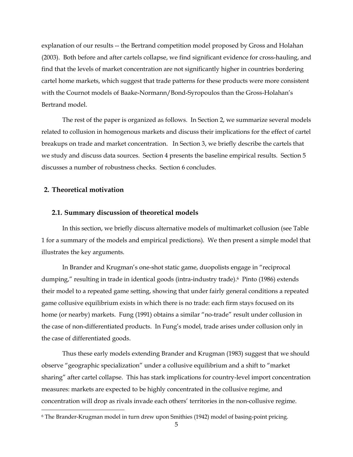explanation of our results -- the Bertrand competition model proposed by Gross and Holahan (2003). Both before and after cartels collapse, we find significant evidence for cross-hauling, and find that the levels of market concentration are not significantly higher in countries bordering cartel home markets, which suggest that trade patterns for these products were more consistent with the Cournot models of Baake-Normann/Bond-Syropoulos than the Gross-Holahan's Bertrand model.

The rest of the paper is organized as follows. In Section 2, we summarize several models related to collusion in homogenous markets and discuss their implications for the effect of cartel breakups on trade and market concentration. In Section 3, we briefly describe the cartels that we study and discuss data sources. Section 4 presents the baseline empirical results. Section 5 discusses a number of robustness checks. Section 6 concludes.

### **2. Theoretical motivation**

 $\overline{a}$ 

#### **2.1. Summary discussion of theoretical models**

In this section, we briefly discuss alternative models of multimarket collusion (see Table 1 for a summary of the models and empirical predictions). We then present a simple model that illustrates the key arguments.

In Brander and Krugman's one-shot static game, duopolists engage in "reciprocal dumping," resulting in trade in identical goods (intra-industry trade).<sup>6</sup> Pinto (1986) extends their model to a repeated game setting, showing that under fairly general conditions a repeated game collusive equilibrium exists in which there is no trade: each firm stays focused on its home (or nearby) markets. Fung (1991) obtains a similar "no-trade" result under collusion in the case of non-differentiated products. In Fung's model, trade arises under collusion only in the case of differentiated goods.

Thus these early models extending Brander and Krugman (1983) suggest that we should observe "geographic specialization" under a collusive equilibrium and a shift to "market sharing" after cartel collapse. This has stark implications for country-level import concentration measures: markets are expected to be highly concentrated in the collusive regime, and concentration will drop as rivals invade each others' territories in the non-collusive regime.

<sup>6</sup> The Brander-Krugman model in turn drew upon Smithies (1942) model of basing-point pricing.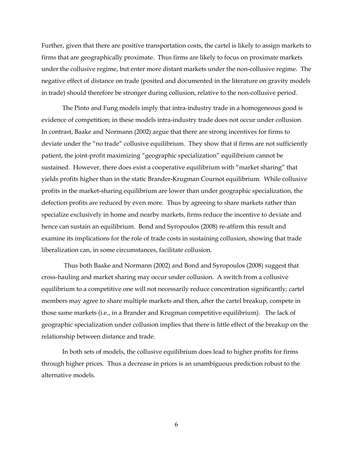Further, given that there are positive transportation costs, the cartel is likely to assign markets to firms that are geographically proximate. Thus firms are likely to focus on proximate markets under the collusive regime, but enter more distant markets under the non-collusive regime. The negative effect of distance on trade (posited and documented in the literature on gravity models in trade) should therefore be stronger during collusion, relative to the non-collusive period.

The Pinto and Fung models imply that intra-industry trade in a homogeneous good is evidence of competition; in these models intra-industry trade does not occur under collusion. In contrast, Baake and Normann (2002) argue that there are strong incentives for firms to deviate under the "no trade" collusive equilibrium. They show that if firms are not sufficiently patient, the joint-profit maximizing "geographic specialization" equilibrium cannot be sustained. However, there does exist a cooperative equilibrium with "market sharing" that yields profits higher than in the static Brander-Krugman Cournot equilibrium. While collusive profits in the market-sharing equilibrium are lower than under geographic specialization, the defection profits are reduced by even more. Thus by agreeing to share markets rather than specialize exclusively in home and nearby markets, firms reduce the incentive to deviate and hence can sustain an equilibrium. Bond and Syropoulos (2008) re-affirm this result and examine its implications for the role of trade costs in sustaining collusion, showing that trade liberalization can, in some circumstances, facilitate collusion.

 Thus both Baake and Normann (2002) and Bond and Syropoulos (2008) suggest that cross-hauling and market sharing may occur under collusion. A switch from a collusive equilibrium to a competitive one will not necessarily reduce concentration significantly; cartel members may agree to share multiple markets and then, after the cartel breakup, compete in those same markets (i.e., in a Brander and Krugman competitive equilibrium). The lack of geographic specialization under collusion implies that there is little effect of the breakup on the relationship between distance and trade.

In both sets of models, the collusive equilibrium does lead to higher profits for firms through higher prices. Thus a decrease in prices is an unambiguous prediction robust to the alternative models.

6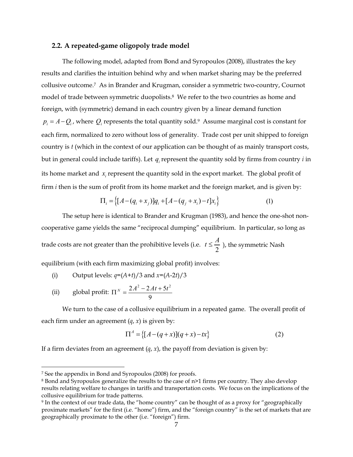#### **2.2. A repeated-game oligopoly trade model**

The following model, adapted from Bond and Syropoulos (2008), illustrates the key results and clarifies the intuition behind why and when market sharing may be the preferred collusive outcome.7 As in Brander and Krugman, consider a symmetric two-country, Cournot model of trade between symmetric duopolists.<sup>8</sup> We refer to the two countries as home and foreign, with (symmetric) demand in each country given by a linear demand function  $p_i = A - Q_i$ , where  $Q_i$  represents the total quantity sold.<sup>9</sup> Assume marginal cost is constant for each firm, normalized to zero without loss of generality. Trade cost per unit shipped to foreign country is *t* (which in the context of our application can be thought of as mainly transport costs, but in general could include tariffs). Let  $q_i$  represent the quantity sold by firms from country  $i$  in its home market and *x<sub>i</sub>* represent the quantity sold in the export market. The global profit of firm *i* then is the sum of profit from its home market and the foreign market, and is given by:

$$
\Pi_i = \{ [A - (q_i + x_j)]q_i + [A - (q_j + x_i) - t]x_i \}
$$
\n(1)

The setup here is identical to Brander and Krugman (1983), and hence the one-shot noncooperative game yields the same "reciprocal dumping" equilibrium. In particular, so long as trade costs are not greater than the prohibitive levels (i.e.  $t \leq \frac{A}{2}$  ), the symmetric Nash equilibrium (with each firm maximizing global profit) involves:

- (i) Output levels:  $q=(A+t)/3$  and  $x=(A-2t)/3$
- (ii) global profit:  $\Pi^N = \frac{2A^2 2At + 5t^2}{2}$ 9  $\Pi^N = \frac{2A^2 - 2At + 5t^2}{a}$

We turn to the case of a collusive equilibrium in a repeated game. The overall profit of each firm under an agreement  $(q, x)$  is given by:

$$
\Pi^A = \{ [A - (q + x)](q + x) - tx \}
$$
 (2)

If a firm deviates from an agreement  $(q, x)$ , the payoff from deviation is given by:

<u>.</u>

<sup>7</sup> See the appendix in Bond and Syropoulos (2008) for proofs.

<sup>8</sup> Bond and Syropoulos generalize the results to the case of n>1 firms per country. They also develop results relating welfare to changes in tariffs and transportation costs. We focus on the implications of the collusive equilibrium for trade patterns.

<sup>9</sup> In the context of our trade data, the "home country" can be thought of as a proxy for "geographically proximate markets" for the first (i.e. "home") firm, and the "foreign country" is the set of markets that are geographically proximate to the other (i.e. "foreign") firm.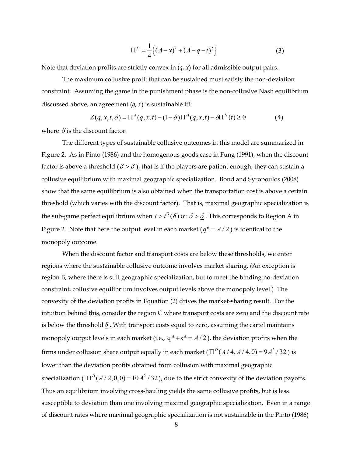$$
\Pi^{D} = \frac{1}{4} \left\{ (A - x)^{2} + (A - q - t)^{2} \right\}
$$
 (3)

Note that deviation profits are strictly convex in  $(q, x)$  for all admissible output pairs.

The maximum collusive profit that can be sustained must satisfy the non-deviation constraint. Assuming the game in the punishment phase is the non-collusive Nash equilibrium discussed above, an agreement (*q*, *x*) is sustainable iff:

$$
Z(q, x, t, \delta) = \Pi^A(q, x, t) - (1 - \delta)\Pi^D(q, x, t) - \delta\Pi^N(t) \ge 0
$$
\n<sup>(4)</sup>

where  $\delta$  is the discount factor.

The different types of sustainable collusive outcomes in this model are summarized in Figure 2. As in Pinto (1986) and the homogenous goods case in Fung (1991), when the discount factor is above a threshold ( $\delta > \delta$ ), that is if the players are patient enough, they can sustain a collusive equilibrium with maximal geographic specialization. Bond and Syropoulos (2008) show that the same equilibrium is also obtained when the transportation cost is above a certain threshold (which varies with the discount factor). That is, maximal geographic specialization is the sub-game perfect equilibrium when  $t > t^G(\delta)$  or  $\delta > \delta$ . This corresponds to Region A in Figure 2. Note that here the output level in each market ( $q^* = A/2$ ) is identical to the monopoly outcome.

When the discount factor and transport costs are below these thresholds, we enter regions where the sustainable collusive outcome involves market sharing. (An exception is region B, where there is still geographic specialization, but to meet the binding no-deviation constraint, collusive equilibrium involves output levels above the monopoly level.) The convexity of the deviation profits in Equation (2) drives the market-sharing result. For the intuition behind this, consider the region C where transport costs are zero and the discount rate is below the threshold  $\delta$ . With transport costs equal to zero, assuming the cartel maintains monopoly output levels in each market (i.e.,  $q^*+x^* = A/2$ ), the deviation profits when the firms under collusion share output equally in each market  $(\Pi^D(A/A, A/A, 0) = 9A^2 / 32)$  is lower than the deviation profits obtained from collusion with maximal geographic specialization ( $\Pi^{D}(A/2,0,0) = 10A^{2}/32$ ), due to the strict convexity of the deviation payoffs. Thus an equilibrium involving cross-hauling yields the same collusive profits, but is less susceptible to deviation than one involving maximal geographic specialization. Even in a range of discount rates where maximal geographic specialization is not sustainable in the Pinto (1986)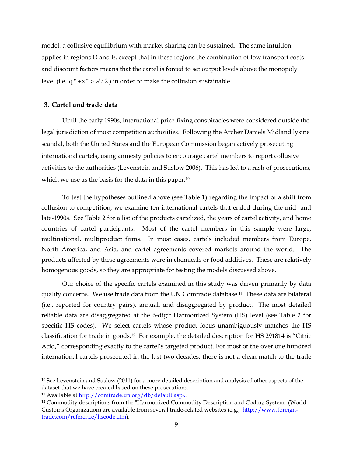model, a collusive equilibrium with market-sharing can be sustained. The same intuition applies in regions D and E, except that in these regions the combination of low transport costs and discount factors means that the cartel is forced to set output levels above the monopoly level (i.e.  $q^*+x^* > A/2$ ) in order to make the collusion sustainable.

### **3. Cartel and trade data**

Until the early 1990s, international price-fixing conspiracies were considered outside the legal jurisdiction of most competition authorities. Following the Archer Daniels Midland lysine scandal, both the United States and the European Commission began actively prosecuting international cartels, using amnesty policies to encourage cartel members to report collusive activities to the authorities (Levenstein and Suslow 2006). This has led to a rash of prosecutions, which we use as the basis for the data in this paper.<sup>10</sup>

To test the hypotheses outlined above (see Table 1) regarding the impact of a shift from collusion to competition, we examine ten international cartels that ended during the mid- and late-1990s. See Table 2 for a list of the products cartelized, the years of cartel activity, and home countries of cartel participants. Most of the cartel members in this sample were large, multinational, multiproduct firms. In most cases, cartels included members from Europe, North America, and Asia, and cartel agreements covered markets around the world. The products affected by these agreements were in chemicals or food additives. These are relatively homogenous goods, so they are appropriate for testing the models discussed above.

Our choice of the specific cartels examined in this study was driven primarily by data quality concerns. We use trade data from the UN Comtrade database.11 These data are bilateral (i.e., reported for country pairs), annual, and disaggregated by product. The most detailed reliable data are disaggregated at the 6-digit Harmonized System (HS) level (see Table 2 for specific HS codes). We select cartels whose product focus unambiguously matches the HS classification for trade in goods.12 For example, the detailed description for HS 291814 is "Citric Acid," corresponding exactly to the cartel's targeted product. For most of the over one hundred international cartels prosecuted in the last two decades, there is not a clean match to the trade

<sup>10</sup> See Levenstein and Suslow (2011) for a more detailed description and analysis of other aspects of the dataset that we have created based on these prosecutions.

<sup>&</sup>lt;sup>11</sup> Available at http://comtrade.un.org/db/default.aspx.

<sup>&</sup>lt;sup>12</sup> Commodity descriptions from the "Harmonized Commodity Description and Coding System" (World Customs Organization) are available from several trade-related websites (e.g., http://www.foreigntrade.com/reference/hscode.cfm).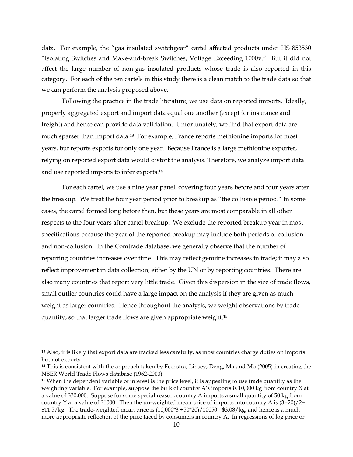data. For example, the "gas insulated switchgear" cartel affected products under HS 853530 "Isolating Switches and Make-and-break Switches, Voltage Exceeding 1000v." But it did not affect the large number of non-gas insulated products whose trade is also reported in this category. For each of the ten cartels in this study there is a clean match to the trade data so that we can perform the analysis proposed above.

Following the practice in the trade literature, we use data on reported imports. Ideally, properly aggregated export and import data equal one another (except for insurance and freight) and hence can provide data validation. Unfortunately, we find that export data are much sparser than import data.13 For example, France reports methionine imports for most years, but reports exports for only one year. Because France is a large methionine exporter, relying on reported export data would distort the analysis. Therefore, we analyze import data and use reported imports to infer exports.14

For each cartel, we use a nine year panel, covering four years before and four years after the breakup. We treat the four year period prior to breakup as "the collusive period." In some cases, the cartel formed long before then, but these years are most comparable in all other respects to the four years after cartel breakup. We exclude the reported breakup year in most specifications because the year of the reported breakup may include both periods of collusion and non-collusion. In the Comtrade database, we generally observe that the number of reporting countries increases over time. This may reflect genuine increases in trade; it may also reflect improvement in data collection, either by the UN or by reporting countries. There are also many countries that report very little trade. Given this dispersion in the size of trade flows, small outlier countries could have a large impact on the analysis if they are given as much weight as larger countries. Hence throughout the analysis, we weight observations by trade quantity, so that larger trade flows are given appropriate weight.15

<sup>13</sup> Also, it is likely that export data are tracked less carefully, as most countries charge duties on imports but not exports.

<sup>&</sup>lt;sup>14</sup> This is consistent with the approach taken by Feenstra, Lipsey, Deng, Ma and Mo (2005) in creating the NBER World Trade Flows database (1962-2000).

<sup>15</sup> When the dependent variable of interest is the price level, it is appealing to use trade quantity as the weighting variable. For example, suppose the bulk of country A's imports is 10,000 kg from country X at a value of \$30,000. Suppose for some special reason, country A imports a small quantity of 50 kg from country Y at a value of \$1000. Then the un-weighted mean price of imports into country A is  $(3+20)/2=$ \$11.5/kg. The trade-weighted mean price is  $(10,000*3 + 50*20)/10050 = $3.08/kg$ , and hence is a much more appropriate reflection of the price faced by consumers in country A. In regressions of log price or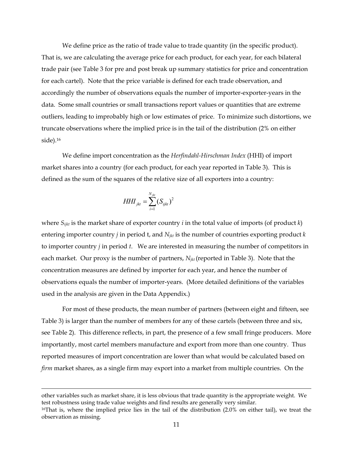We define price as the ratio of trade value to trade quantity (in the specific product). That is, we are calculating the average price for each product, for each year, for each bilateral trade pair (see Table 3 for pre and post break up summary statistics for price and concentration for each cartel). Note that the price variable is defined for each trade observation, and accordingly the number of observations equals the number of importer-exporter-years in the data. Some small countries or small transactions report values or quantities that are extreme outliers, leading to improbably high or low estimates of price. To minimize such distortions, we truncate observations where the implied price is in the tail of the distribution (2% on either side).16

We define import concentration as the *Herfindahl-Hirschman Index* (HHI) of import market shares into a country (for each product, for each year reported in Table 3). This is defined as the sum of the squares of the relative size of all exporters into a country:

$$
HHI_{jkt} = \sum_{i=1}^{N_{jkt}} (S_{ijkt})^2
$$

where *Sijkt* is the market share of exporter country *i* in the total value of imports (of product *k*) entering importer country *j* in period t, and *Njkt* is the number of countries exporting product *k*  to importer country *j* in period *t*. We are interested in measuring the number of competitors in each market. Our proxy is the number of partners, *Njkt* (reported in Table 3). Note that the concentration measures are defined by importer for each year, and hence the number of observations equals the number of importer-years. (More detailed definitions of the variables used in the analysis are given in the Data Appendix.)

For most of these products, the mean number of partners (between eight and fifteen, see Table 3) is larger than the number of members for any of these cartels (between three and six, see Table 2). This difference reflects, in part, the presence of a few small fringe producers. More importantly, most cartel members manufacture and export from more than one country. Thus reported measures of import concentration are lower than what would be calculated based on *firm* market shares, as a single firm may export into a market from multiple countries. On the

other variables such as market share, it is less obvious that trade quantity is the appropriate weight. We test robustness using trade value weights and find results are generally very similar.

<sup>16</sup>That is, where the implied price lies in the tail of the distribution (2.0% on either tail), we treat the observation as missing.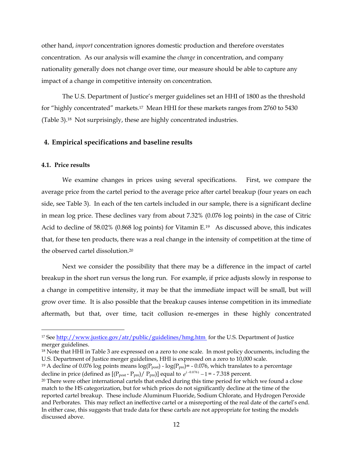other hand, *import* concentration ignores domestic production and therefore overstates concentration. As our analysis will examine the *change* in concentration, and company nationality generally does not change over time, our measure should be able to capture any impact of a change in competitive intensity on concentration.

The U.S. Department of Justice's merger guidelines set an HHI of 1800 as the threshold for "highly concentrated" markets.17 Mean HHI for these markets ranges from 2760 to 5430 (Table 3).18 Not surprisingly, these are highly concentrated industries.

### **4. Empirical specifications and baseline results**

#### **4.1. Price results**

-

We examine changes in prices using several specifications. First, we compare the average price from the cartel period to the average price after cartel breakup (four years on each side, see Table 3). In each of the ten cartels included in our sample, there is a significant decline in mean log price. These declines vary from about 7.32% (0.076 log points) in the case of Citric Acid to decline of 58.02% (0.868 log points) for Vitamin E.<sup>19</sup> As discussed above, this indicates that, for these ten products, there was a real change in the intensity of competition at the time of the observed cartel dissolution.20

Next we consider the possibility that there may be a difference in the impact of cartel breakup in the short run versus the long run. For example, if price adjusts slowly in response to a change in competitive intensity, it may be that the immediate impact will be small, but will grow over time. It is also possible that the breakup causes intense competition in its immediate aftermath, but that, over time, tacit collusion re-emerges in these highly concentrated

<sup>&</sup>lt;sup>17</sup> See http://www.justice.gov/atr/public/guidelines/hmg.htm for the U.S. Department of Justice merger guidelines.

<sup>&</sup>lt;sup>18</sup> Note that HHI in Table 3 are expressed on a zero to one scale. In most policy documents, including the U.S. Department of Justice merger guidelines, HHI is expressed on a zero to 10,000 scale.

<sup>&</sup>lt;sup>19</sup> A decline of 0.076 log points means  $log(P_{post})$  -  $log(P_{pre})$  = -0.076, which translates to a percentage decline in price (defined as  $[(P_{post} - P_{pre})/ P_{pre}]$ ) equal to  $e^{(-0.076)} - 1 = -7.318$  percent.

<sup>&</sup>lt;sup>20</sup> There were other international cartels that ended during this time period for which we found a close match to the HS categorization, but for which prices do not significantly decline at the time of the reported cartel breakup. These include Aluminum Fluoride, Sodium Chlorate, and Hydrogen Peroxide and Perborates. This may reflect an ineffective cartel or a misreporting of the real date of the cartel's end. In either case, this suggests that trade data for these cartels are not appropriate for testing the models discussed above.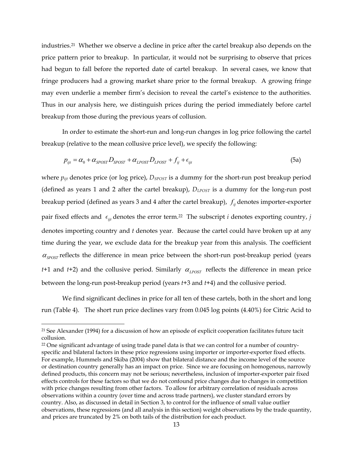industries.21 Whether we observe a decline in price after the cartel breakup also depends on the price pattern prior to breakup. In particular, it would not be surprising to observe that prices had begun to fall before the reported date of cartel breakup. In several cases, we know that fringe producers had a growing market share prior to the formal breakup. A growing fringe may even underlie a member firm's decision to reveal the cartel's existence to the authorities. Thus in our analysis here, we distinguish prices during the period immediately before cartel breakup from those during the previous years of collusion.

In order to estimate the short-run and long-run changes in log price following the cartel breakup (relative to the mean collusive price level), we specify the following:

$$
p_{ijt} = \alpha_0 + \alpha_{SPOST} D_{SPOST} + \alpha_{LPOST} D_{LPOST} + f_{ij} + \epsilon_{ijt}
$$
\n(5a)

where  $p_{ijt}$  denotes price (or log price),  $D_{SPOST}$  is a dummy for the short-run post breakup period (defined as years 1 and 2 after the cartel breakup), *DLPOST* is a dummy for the long-run post breakup period (defined as years 3 and 4 after the cartel breakup),  $f_{ij}$  denotes importer-exporter pair fixed effects and  $\epsilon_{ijt}$  denotes the error term.<sup>22</sup> The subscript *i* denotes exporting country, *j* denotes importing country and *t* denotes year. Because the cartel could have broken up at any time during the year, we exclude data for the breakup year from this analysis. The coefficient  $\alpha_{\text{SPOST}}$  reflects the difference in mean price between the short-run post-breakup period (years *t*+1 and *t*+2) and the collusive period. Similarly  $\alpha_{\text{IPOST}}$  reflects the difference in mean price between the long-run post-breakup period (years *t*+3 and *t*+4) and the collusive period.

We find significant declines in price for all ten of these cartels, both in the short and long run (Table 4). The short run price declines vary from 0.045 log points (4.40%) for Citric Acid to

<u>.</u>

<sup>21</sup> See Alexander (1994) for a discussion of how an episode of explicit cooperation facilitates future tacit collusion.

<sup>&</sup>lt;sup>22</sup> One significant advantage of using trade panel data is that we can control for a number of countryspecific and bilateral factors in these price regressions using importer or importer-exporter fixed effects. For example, Hummels and Skiba (2004) show that bilateral distance and the income level of the source or destination country generally has an impact on price. Since we are focusing on homogenous, narrowly defined products, this concern may not be serious; nevertheless, inclusion of importer-exporter pair fixed effects controls for these factors so that we do not confound price changes due to changes in competition with price changes resulting from other factors. To allow for arbitrary correlation of residuals across observations within a country (over time and across trade partners), we cluster standard errors by country. Also, as discussed in detail in Section 3, to control for the influence of small value outlier observations, these regressions (and all analysis in this section) weight observations by the trade quantity, and prices are truncated by 2% on both tails of the distribution for each product.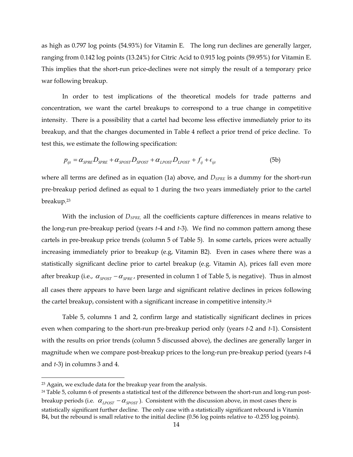as high as 0.797 log points (54.93%) for Vitamin E. The long run declines are generally larger, ranging from 0.142 log points (13.24%) for Citric Acid to 0.915 log points (59.95%) for Vitamin E. This implies that the short-run price-declines were not simply the result of a temporary price war following breakup.

In order to test implications of the theoretical models for trade patterns and concentration, we want the cartel breakups to correspond to a true change in competitive intensity. There is a possibility that a cartel had become less effective immediately prior to its breakup, and that the changes documented in Table 4 reflect a prior trend of price decline. To test this, we estimate the following specification:

$$
p_{ijt} = \alpha_{SPRE} D_{SPRE} + \alpha_{SPOST} D_{SPOST} + \alpha_{LPOST} D_{LPOST} + f_{ij} + \epsilon_{ijt}
$$
(5b)

where all terms are defined as in equation (1a) above, and  $D_{SPRE}$  is a dummy for the short-run pre-breakup period defined as equal to 1 during the two years immediately prior to the cartel breakup.23

With the inclusion of *DSPRE,* all the coefficients capture differences in means relative to the long-run pre-breakup period (years *t*-4 and *t*-3). We find no common pattern among these cartels in pre-breakup price trends (column 5 of Table 5). In some cartels, prices were actually increasing immediately prior to breakup (e.g, Vitamin B2). Even in cases where there was a statistically significant decline prior to cartel breakup (e.g. Vitamin A), prices fall even more after breakup (i.e.,  $\alpha_{\text{spoST}} - \alpha_{\text{spRF}}$ , presented in column 1 of Table 5, is negative). Thus in almost all cases there appears to have been large and significant relative declines in prices following the cartel breakup, consistent with a significant increase in competitive intensity.<sup>24</sup>

Table 5, columns 1 and 2, confirm large and statistically significant declines in prices even when comparing to the short-run pre-breakup period only (years *t*-2 and *t*-1). Consistent with the results on prior trends (column 5 discussed above), the declines are generally larger in magnitude when we compare post-breakup prices to the long-run pre-breakup period (years *t*-4 and *t*-3) in columns 3 and 4.

<u>.</u>

 $23$  Again, we exclude data for the breakup year from the analysis.

<sup>24</sup> Table 5, column 6 of presents a statistical test of the difference between the short-run and long-run postbreakup periods (i.e.  $\alpha_{LPOST} - \alpha_{SPOST}$ ). Consistent with the discussion above, in most cases there is statistically significant further decline. The only case with a statistically significant rebound is Vitamin B4, but the rebound is small relative to the initial decline (0.56 log points relative to -0.255 log points).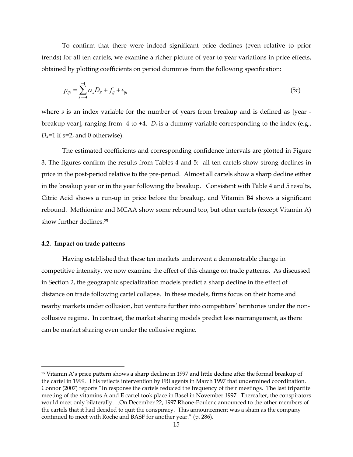To confirm that there were indeed significant price declines (even relative to prior trends) for all ten cartels, we examine a richer picture of year to year variations in price effects, obtained by plotting coefficients on period dummies from the following specification:

$$
p_{ijt} = \sum_{s=-4}^{+4} \alpha_s D_s + f_{ij} + \epsilon_{ijt}
$$
 (5c)

where *s* is an index variable for the number of years from breakup and is defined as [year breakup year], ranging from -4 to +4. *Ds* is a dummy variable corresponding to the index (e.g.,  $D_2$ =1 if s=2, and 0 otherwise).

The estimated coefficients and corresponding confidence intervals are plotted in Figure 3. The figures confirm the results from Tables 4 and 5: all ten cartels show strong declines in price in the post-period relative to the pre-period. Almost all cartels show a sharp decline either in the breakup year or in the year following the breakup. Consistent with Table 4 and 5 results, Citric Acid shows a run-up in price before the breakup, and Vitamin B4 shows a significant rebound. Methionine and MCAA show some rebound too, but other cartels (except Vitamin A) show further declines.25

#### **4.2. Impact on trade patterns**

<u>.</u>

Having established that these ten markets underwent a demonstrable change in competitive intensity, we now examine the effect of this change on trade patterns. As discussed in Section 2, the geographic specialization models predict a sharp decline in the effect of distance on trade following cartel collapse. In these models, firms focus on their home and nearby markets under collusion, but venture further into competitors' territories under the noncollusive regime. In contrast, the market sharing models predict less rearrangement, as there can be market sharing even under the collusive regime.

<sup>25</sup> Vitamin A's price pattern shows a sharp decline in 1997 and little decline after the formal breakup of the cartel in 1999. This reflects intervention by FBI agents in March 1997 that undermined coordination. Connor (2007) reports "In response the cartels reduced the frequency of their meetings. The last tripartite meeting of the vitamins A and E cartel took place in Basel in November 1997. Thereafter, the conspirators would meet only bilaterally….On December 22, 1997 Rhone-Poulenc announced to the other members of the cartels that it had decided to quit the conspiracy. This announcement was a sham as the company continued to meet with Roche and BASF for another year." (p. 286).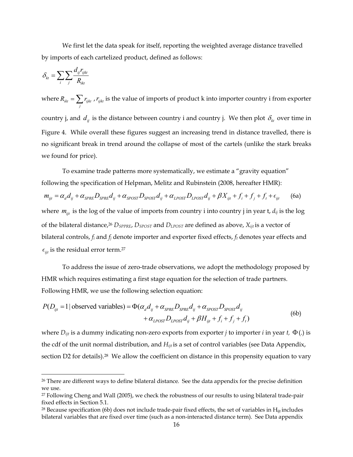We first let the data speak for itself, reporting the weighted average distance travelled by imports of each cartelized product, defined as follows:

$$
\delta_{kt} = \sum_{i} \sum_{j} \frac{d_{ij} r_{ijkt}}{R_{ikt}}
$$

 $\overline{a}$ 

where  $R_{_{ikt}} = \sum r_{_{ijkt}}$  $R_{ik} = \sum_j r_{ijkl}$ , *r*<sub>ijkt</sub> is the value of imports of product k into importer country i from exporter country j, and  $d_{ij}$  is the distance between country i and country j. We then plot  $\delta_{kt}$  over time in Figure 4. While overall these figures suggest an increasing trend in distance travelled, there is no significant break in trend around the collapse of most of the cartels (unlike the stark breaks we found for price).

To examine trade patterns more systematically, we estimate a "gravity equation" following the specification of Helpman, Melitz and Rubinstein (2008, hereafter HMR):

$$
m_{ijt} = \alpha_d d_{ij} + \alpha_{SPRE} D_{SPRE} d_{ij} + \alpha_{SPOST} D_{SPOST} d_{ij} + \alpha_{LPOST} D_{LPOST} d_{ij} + \beta X_{ijt} + f_i + f_j + f_t + \epsilon_{ijt}
$$
 (6a)

where  $m_{ijt}$  is the log of the value of imports from country i into country j in year t,  $d_{ij}$  is the log of the bilateral distance,26 *DSPPRE*, *DSPOST* and *DLPOST* are defined as above, *Xijt* is a vector of bilateral controls, *fi* and *fj* denote importer and exporter fixed effects, *ft* denotes year effects and  $\epsilon_{\text{ijt}}$  is the residual error term.<sup>27</sup>

To address the issue of zero-trade observations, we adopt the methodology proposed by HMR which requires estimating a first stage equation for the selection of trade partners. Following HMR, we use the following selection equation:

$$
P(D_{ijt} = 1 | \text{ observed variables}) = \Phi(\alpha_d d_{ij} + \alpha_{SPRE} D_{SPRE} d_{ij} + \alpha_{SPOST} D_{SPOST} d_{ij} + \alpha_{LPOST} D_{LPOST} d_{ij} + \beta H_{ijt} + f_i + f_j + f_t)
$$
\n(6b)

where  $D_{ijt}$  is a dummy indicating non-zero exports from exporter *j* to importer *i* in year *t*,  $\Phi(.)$  is the cdf of the unit normal distribution, and *Hijt* is a set of control variables (see Data Appendix, section D2 for details).<sup>28</sup> We allow the coefficient on distance in this propensity equation to vary

<sup>&</sup>lt;sup>26</sup> There are different ways to define bilateral distance. See the data appendix for the precise definition we use.

<sup>27</sup> Following Cheng and Wall (2005), we check the robustness of our results to using bilateral trade-pair fixed effects in Section 5.1.

<sup>&</sup>lt;sup>28</sup> Because specification (6b) does not include trade-pair fixed effects, the set of variables in  $H_{ii}$  includes bilateral variables that are fixed over time (such as a non-interacted distance term). See Data appendix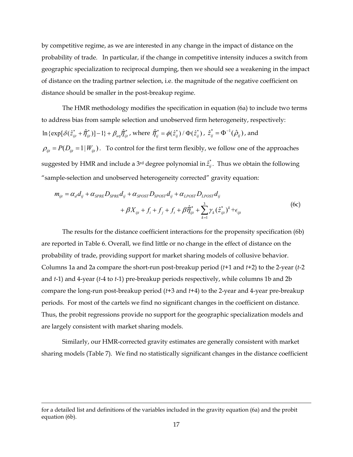by competitive regime, as we are interested in any change in the impact of distance on the probability of trade. In particular, if the change in competitive intensity induces a switch from geographic specialization to reciprocal dumping, then we should see a weakening in the impact of distance on the trading partner selection, i.e. the magnitude of the negative coefficient on distance should be smaller in the post-breakup regime.

The HMR methodology modifies the specification in equation (6a) to include two terms to address bias from sample selection and unobserved firm heterogeneity, respectively:  $\ln \{\exp[\delta(\hat{z}_{ijt}^* + \hat{\overline{\eta}}_{ijt}^*)] - 1\} + \beta_{u\eta} \hat{\overline{\eta}}_{ijt}^*$ , where  $\hat{\overline{\eta}}_{ij}^* = \phi(\hat{z}_{ij}^*) / \Phi(\hat{z}_{ij}^*)$ ,  $\hat{z}_{ij}^* = \Phi^{-1}(\hat{\rho}_{ij})$ , and  $\rho_{ijt} = P(D_{ijt} = 1 | W_{ijt})$ . To control for the first term flexibly, we follow one of the approaches suggested by HMR and include a 3<sup>rd</sup> degree polynomial in  $\hat{z}_{ij}^*$ . Thus we obtain the following "sample-selection and unobserved heterogeneity corrected" gravity equation:

$$
m_{ijt} = \alpha_d d_{ij} + \alpha_{SPRE} D_{SPRE} d_{ij} + \alpha_{SPOST} D_{SPOST} d_{ij} + \alpha_{LPOST} D_{LPOST} d_{ij} + \beta X_{ijt} + f_i + f_j + f_t + \beta \hat{\overline{\eta}}_{ijt}^* + \sum_{k=1}^3 \gamma_k (\hat{z}_{ijt}^*)^k + \epsilon_{ijt}
$$
(6c)

The results for the distance coefficient interactions for the propensity specification (6b) are reported in Table 6. Overall, we find little or no change in the effect of distance on the probability of trade, providing support for market sharing models of collusive behavior. Columns 1a and 2a compare the short-run post-breakup period (*t*+1 and *t*+2) to the 2-year (*t*-2 and *t*-1) and 4-year (*t*-4 to *t*-1) pre-breakup periods respectively, while columns 1b and 2b compare the long-run post-breakup period (*t*+3 and *t*+4) to the 2-year and 4-year pre-breakup periods. For most of the cartels we find no significant changes in the coefficient on distance. Thus, the probit regressions provide no support for the geographic specialization models and are largely consistent with market sharing models.

Similarly, our HMR-corrected gravity estimates are generally consistent with market sharing models (Table 7). We find no statistically significant changes in the distance coefficient

<u>.</u>

for a detailed list and definitions of the variables included in the gravity equation (6a) and the probit equation (6b).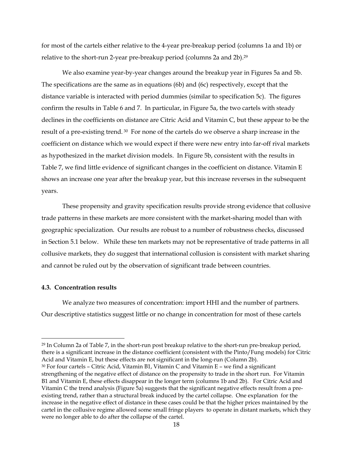for most of the cartels either relative to the 4-year pre-breakup period (columns 1a and 1b) or relative to the short-run 2-year pre-breakup period (columns 2a and 2b).29

We also examine year-by-year changes around the breakup year in Figures 5a and 5b. The specifications are the same as in equations (6b) and (6c) respectively, except that the distance variable is interacted with period dummies (similar to specification 5c). The figures confirm the results in Table 6 and 7. In particular, in Figure 5a, the two cartels with steady declines in the coefficients on distance are Citric Acid and Vitamin C, but these appear to be the result of a pre-existing trend. 30 For none of the cartels do we observe a sharp increase in the coefficient on distance which we would expect if there were new entry into far-off rival markets as hypothesized in the market division models. In Figure 5b, consistent with the results in Table 7, we find little evidence of significant changes in the coefficient on distance. Vitamin E shows an increase one year after the breakup year, but this increase reverses in the subsequent years.

These propensity and gravity specification results provide strong evidence that collusive trade patterns in these markets are more consistent with the market-sharing model than with geographic specialization. Our results are robust to a number of robustness checks, discussed in Section 5.1 below. While these ten markets may not be representative of trade patterns in all collusive markets, they do suggest that international collusion is consistent with market sharing and cannot be ruled out by the observation of significant trade between countries.

### **4.3. Concentration results**

-

We analyze two measures of concentration: import HHI and the number of partners. Our descriptive statistics suggest little or no change in concentration for most of these cartels

<sup>29</sup> In Column 2a of Table 7, in the short-run post breakup relative to the short-run pre-breakup period, there is a significant increase in the distance coefficient (consistent with the Pinto/Fung models) for Citric Acid and Vitamin E, but these effects are not significant in the long-run (Column 2b).  $30$  For four cartels – Citric Acid, Vitamin B1, Vitamin C and Vitamin E – we find a significant strengthening of the negative effect of distance on the propensity to trade in the short run. For Vitamin

B1 and Vitamin E, these effects disappear in the longer term (columns 1b and 2b). For Citric Acid and Vitamin C the trend analysis (Figure 5a) suggests that the significant negative effects result from a preexisting trend, rather than a structural break induced by the cartel collapse. One explanation for the increase in the negative effect of distance in these cases could be that the higher prices maintained by the cartel in the collusive regime allowed some small fringe players to operate in distant markets, which they were no longer able to do after the collapse of the cartel.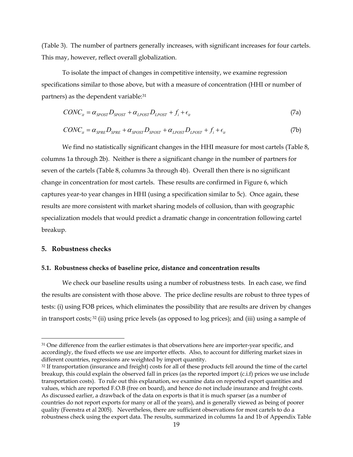(Table 3). The number of partners generally increases, with significant increases for four cartels. This may, however, reflect overall globalization.

To isolate the impact of changes in competitive intensity, we examine regression specifications similar to those above, but with a measure of concentration (HHI or number of partners) as the dependent variable:31

$$
CONC_{it} = \alpha_{SPOST} D_{SPOST} + \alpha_{LPOST} D_{LPOST} + f_i + \epsilon_{it}
$$
\n(7a)

$$
CONC_{it} = \alpha_{SPRE} D_{SPRE} + \alpha_{SPOST} D_{SPOST} + \alpha_{LPOST} D_{LPOST} + f_i + \epsilon_{it}
$$
\n(7b)

We find no statistically significant changes in the HHI measure for most cartels (Table 8, columns 1a through 2b). Neither is there a significant change in the number of partners for seven of the cartels (Table 8, columns 3a through 4b). Overall then there is no significant change in concentration for most cartels. These results are confirmed in Figure 6, which captures year-to year changes in HHI (using a specification similar to 5c). Once again, these results are more consistent with market sharing models of collusion, than with geographic specialization models that would predict a dramatic change in concentration following cartel breakup.

#### **5. Robustness checks**

-

#### **5.1. Robustness checks of baseline price, distance and concentration results**

We check our baseline results using a number of robustness tests. In each case, we find the results are consistent with those above. The price decline results are robust to three types of tests: (i) using FOB prices, which eliminates the possibility that are results are driven by changes in transport costs; 32 (ii) using price levels (as opposed to log prices); and (iii) using a sample of

<sup>&</sup>lt;sup>31</sup> One difference from the earlier estimates is that observations here are importer-year specific, and accordingly, the fixed effects we use are importer effects. Also, to account for differing market sizes in different countries, regressions are weighted by import quantity.

<sup>&</sup>lt;sup>32</sup> If transportation (insurance and freight) costs for all of these products fell around the time of the cartel breakup, this could explain the observed fall in prices (as the reported import (c.i.f) prices we use include transportation costs). To rule out this explanation, we examine data on reported export quantities and values, which are reported F.O.B (free on board), and hence do not include insurance and freight costs. As discussed earlier, a drawback of the data on exports is that it is much sparser (as a number of countries do not report exports for many or all of the years), and is generally viewed as being of poorer quality (Feenstra et al 2005). Nevertheless, there are sufficient observations for most cartels to do a robustness check using the export data. The results, summarized in columns 1a and 1b of Appendix Table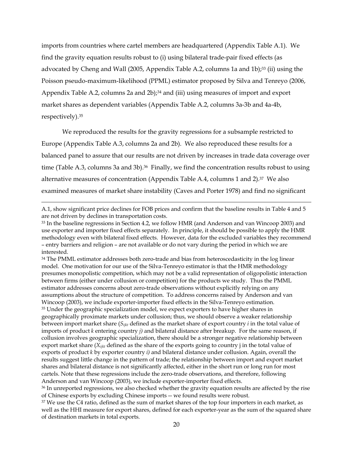imports from countries where cartel members are headquartered (Appendix Table A.1). We find the gravity equation results robust to (i) using bilateral trade-pair fixed effects (as advocated by Cheng and Wall (2005, Appendix Table A.2, columns 1a and 1b);<sup>33</sup> (ii) using the Poisson pseudo-maximum-likelihood (PPML) estimator proposed by Silva and Tenreyo (2006, Appendix Table A.2, columns 2a and 2b);<sup>34</sup> and (iii) using measures of import and export market shares as dependent variables (Appendix Table A.2, columns 3a-3b and 4a-4b, respectively).35

We reproduced the results for the gravity regressions for a subsample restricted to Europe (Appendix Table A.3, columns 2a and 2b). We also reproduced these results for a balanced panel to assure that our results are not driven by increases in trade data coverage over time (Table A.3, columns 3a and 3b).<sup>36</sup> Finally, we find the concentration results robust to using alternative measures of concentration (Appendix Table A.4, columns 1 and 2).37 We also examined measures of market share instability (Caves and Porter 1978) and find no significant

 $\overline{a}$ 

<sup>34</sup> The PMML estimator addresses both zero-trade and bias from heteroscedasticity in the log linear model. One motivation for our use of the Silva-Tenreyo estimator is that the HMR methodology presumes monopolistic competition, which may not be a valid representation of oligopolistic interaction between firms (either under collusion or competition) for the products we study. Thus the PMML estimator addresses concerns about zero-trade observations without explicitly relying on any assumptions about the structure of competition. To address concerns raised by Anderson and van Wincoop (2003), we include exporter-importer fixed effects in the Silva-Tenreyo estimation. <sup>35</sup> Under the geographic specialization model, we expect exporters to have higher shares in geographically proximate markets under collusion; thus, we should observe a weaker relationship between import market share (*Sijkt* defined as the market share of export country *i* in the total value of imports of product *k* entering country *j)* and bilateral distance after breakup. For the same reason, if collusion involves geographic specialization, there should be a stronger negative relationship between export market share (*Xijkt* defined as the share of the exports going to country j in the total value of exports of product *k* by exporter country *i)* and bilateral distance under collusion. Again, overall the results suggest little change in the pattern of trade; the relationship between import and export market shares and bilateral distance is not significantly affected, either in the short run or long run for most cartels. Note that these regressions include the zero-trade observations, and therefore, following Anderson and van Wincoop (2003), we include exporter-importer fixed effects.

A.1, show significant price declines for FOB prices and confirm that the baseline results in Table 4 and 5 are not driven by declines in transportation costs.

<sup>33</sup> In the baseline regressions in Section 4.2, we follow HMR (and Anderson and van Wincoop 2003) and use exporter and importer fixed effects separately. In principle, it should be possible to apply the HMR methodology even with bilateral fixed effects. However, data for the excluded variables they recommend – entry barriers and religion – are not available or do not vary during the period in which we are interested.

<sup>&</sup>lt;sup>36</sup> In unreported regressions, we also checked whether the gravity equation results are affected by the rise of Chinese exports by excluding Chinese imports -- we found results were robust.

<sup>&</sup>lt;sup>37</sup> We use the C4 ratio, defined as the sum of market shares of the top four importers in each market, as well as the HHI measure for export shares, defined for each exporter-year as the sum of the squared share of destination markets in total exports.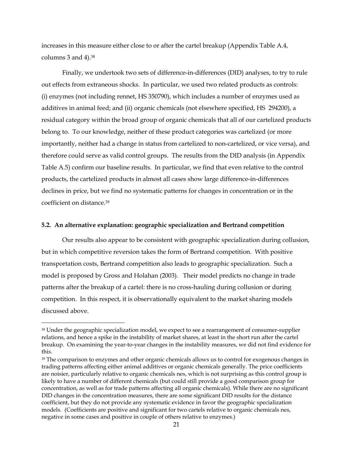increases in this measure either close to or after the cartel breakup (Appendix Table A.4, columns 3 and 4).38

Finally, we undertook two sets of difference-in-differences (DID) analyses, to try to rule out effects from extraneous shocks. In particular, we used two related products as controls: (i) enzymes (not including rennet, HS 350790), which includes a number of enzymes used as additives in animal feed; and (ii) organic chemicals (not elsewhere specified, HS 294200), a residual category within the broad group of organic chemicals that all of our cartelized products belong to. To our knowledge, neither of these product categories was cartelized (or more importantly, neither had a change in status from cartelized to non-cartelized, or vice versa), and therefore could serve as valid control groups. The results from the DID analysis (in Appendix Table A.5) confirm our baseline results. In particular, we find that even relative to the control products, the cartelized products in almost all cases show large difference-in-differences declines in price, but we find no systematic patterns for changes in concentration or in the coefficient on distance.39

#### **5.2. An alternative explanation: geographic specialization and Bertrand competition**

Our results also appear to be consistent with geographic specialization during collusion, but in which competitive reversion takes the form of Bertrand competition. With positive transportation costs, Bertrand competition also leads to geographic specialization. Such a model is proposed by Gross and Holahan (2003). Their model predicts no change in trade patterns after the breakup of a cartel: there is no cross-hauling during collusion or during competition. In this respect, it is observationally equivalent to the market sharing models discussed above.

<sup>&</sup>lt;sup>38</sup> Under the geographic specialization model, we expect to see a rearrangement of consumer-supplier relations, and hence a spike in the instability of market shares, at least in the short run after the cartel breakup. On examining the year-to-year changes in the instability measures, we did not find evidence for this.

<sup>&</sup>lt;sup>39</sup> The comparison to enzymes and other organic chemicals allows us to control for exogenous changes in trading patterns affecting either animal additives or organic chemicals generally. The price coefficients are noisier, particularly relative to organic chemicals nes, which is not surprising as this control group is likely to have a number of different chemicals (but could still provide a good comparison group for concentration, as well as for trade patterns affecting all organic chemicals). While there are no significant DID changes in the concentration measures, there are some significant DID results for the distance coefficient, but they do not provide any systematic evidence in favor the geographic specialization models. (Coefficients are positive and significant for two cartels relative to organic chemicals nes, negative in some cases and positive in couple of others relative to enzymes.)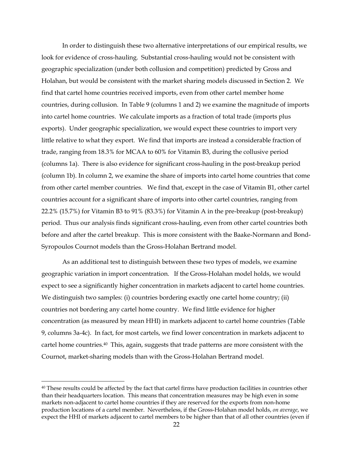In order to distinguish these two alternative interpretations of our empirical results, we look for evidence of cross-hauling. Substantial cross-hauling would not be consistent with geographic specialization (under both collusion and competition) predicted by Gross and Holahan, but would be consistent with the market sharing models discussed in Section 2. We find that cartel home countries received imports, even from other cartel member home countries, during collusion. In Table 9 (columns 1 and 2) we examine the magnitude of imports into cartel home countries. We calculate imports as a fraction of total trade (imports plus exports). Under geographic specialization, we would expect these countries to import very little relative to what they export. We find that imports are instead a considerable fraction of trade, ranging from 18.3% for MCAA to 60% for Vitamin B3, during the collusive period (columns 1a). There is also evidence for significant cross-hauling in the post-breakup period (column 1b). In column 2, we examine the share of imports into cartel home countries that come from other cartel member countries. We find that, except in the case of Vitamin B1, other cartel countries account for a significant share of imports into other cartel countries, ranging from 22.2% (15.7%) for Vitamin B3 to 91% (83.3%) for Vitamin A in the pre-breakup (post-breakup) period. Thus our analysis finds significant cross-hauling, even from other cartel countries both before and after the cartel breakup. This is more consistent with the Baake-Normann and Bond-Syropoulos Cournot models than the Gross-Holahan Bertrand model.

As an additional test to distinguish between these two types of models, we examine geographic variation in import concentration. If the Gross-Holahan model holds, we would expect to see a significantly higher concentration in markets adjacent to cartel home countries. We distinguish two samples: (i) countries bordering exactly one cartel home country; (ii) countries not bordering any cartel home country. We find little evidence for higher concentration (as measured by mean HHI) in markets adjacent to cartel home countries (Table 9, columns 3a-4c). In fact, for most cartels, we find lower concentration in markets adjacent to cartel home countries.40 This, again, suggests that trade patterns are more consistent with the Cournot, market-sharing models than with the Gross-Holahan Bertrand model.

<u>.</u>

<sup>40</sup> These results could be affected by the fact that cartel firms have production facilities in countries other than their headquarters location. This means that concentration measures may be high even in some markets non-adjacent to cartel home countries if they are reserved for the exports from non-home production locations of a cartel member. Nevertheless, if the Gross-Holahan model holds, *on average*, we expect the HHI of markets adjacent to cartel members to be higher than that of all other countries (even if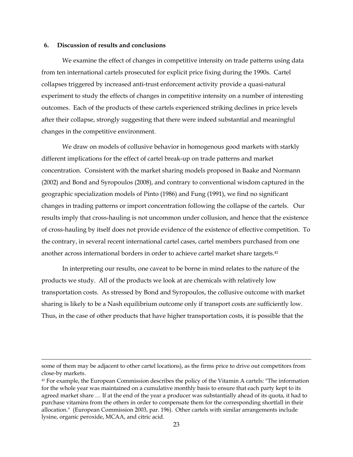#### **6. Discussion of results and conclusions**

 $\overline{a}$ 

We examine the effect of changes in competitive intensity on trade patterns using data from ten international cartels prosecuted for explicit price fixing during the 1990s. Cartel collapses triggered by increased anti-trust enforcement activity provide a quasi-natural experiment to study the effects of changes in competitive intensity on a number of interesting outcomes. Each of the products of these cartels experienced striking declines in price levels after their collapse, strongly suggesting that there were indeed substantial and meaningful changes in the competitive environment.

We draw on models of collusive behavior in homogenous good markets with starkly different implications for the effect of cartel break-up on trade patterns and market concentration. Consistent with the market sharing models proposed in Baake and Normann (2002) and Bond and Syropoulos (2008), and contrary to conventional wisdom captured in the geographic specialization models of Pinto (1986) and Fung (1991), we find no significant changes in trading patterns or import concentration following the collapse of the cartels. Our results imply that cross-hauling is not uncommon under collusion, and hence that the existence of cross-hauling by itself does not provide evidence of the existence of effective competition. To the contrary, in several recent international cartel cases, cartel members purchased from one another across international borders in order to achieve cartel market share targets.<sup>41</sup>

In interpreting our results, one caveat to be borne in mind relates to the nature of the products we study. All of the products we look at are chemicals with relatively low transportation costs. As stressed by Bond and Syropoulos, the collusive outcome with market sharing is likely to be a Nash equilibrium outcome only if transport costs are sufficiently low. Thus, in the case of other products that have higher transportation costs, it is possible that the

some of them may be adjacent to other cartel locations), as the firms price to drive out competitors from close-by markets.

<sup>41</sup> For example, the European Commission describes the policy of the Vitamin A cartels: "The information for the whole year was maintained on a cumulative monthly basis to ensure that each party kept to its agreed market share … If at the end of the year a producer was substantially ahead of its quota, it had to purchase vitamins from the others in order to compensate them for the corresponding shortfall in their allocation." (European Commission 2003, par. 196). Other cartels with similar arrangements include lysine, organic peroxide, MCAA, and citric acid.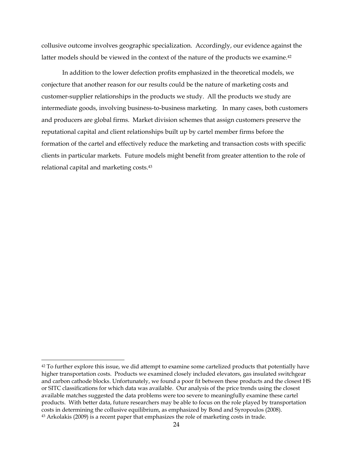collusive outcome involves geographic specialization. Accordingly, our evidence against the latter models should be viewed in the context of the nature of the products we examine.<sup>42</sup>

In addition to the lower defection profits emphasized in the theoretical models, we conjecture that another reason for our results could be the nature of marketing costs and customer-supplier relationships in the products we study. All the products we study are intermediate goods, involving business-to-business marketing. In many cases, both customers and producers are global firms. Market division schemes that assign customers preserve the reputational capital and client relationships built up by cartel member firms before the formation of the cartel and effectively reduce the marketing and transaction costs with specific clients in particular markets. Future models might benefit from greater attention to the role of relational capital and marketing costs.43

<u>.</u>

 $42$  To further explore this issue, we did attempt to examine some cartelized products that potentially have higher transportation costs. Products we examined closely included elevators, gas insulated switchgear and carbon cathode blocks. Unfortunately, we found a poor fit between these products and the closest HS or SITC classifications for which data was available. Our analysis of the price trends using the closest available matches suggested the data problems were too severe to meaningfully examine these cartel products. With better data, future researchers may be able to focus on the role played by transportation costs in determining the collusive equilibrium, as emphasized by Bond and Syropoulos (2008). 43 Arkolakis (2009) is a recent paper that emphasizes the role of marketing costs in trade.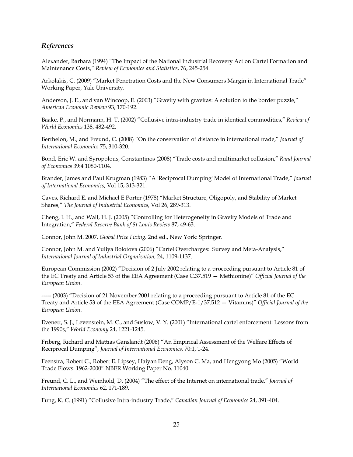### *References*

Alexander, Barbara (1994) "The Impact of the National Industrial Recovery Act on Cartel Formation and Maintenance Costs," *Review of Economics and Statistics*, 76, 245-254.

Arkolakis, C. (2009) "Market Penetration Costs and the New Consumers Margin in International Trade" Working Paper, Yale University.

Anderson, J. E., and van Wincoop, E. (2003) "Gravity with gravitas: A solution to the border puzzle," *American Economic Review* 93, 170-192.

Baake, P., and Normann, H. T. (2002) "Collusive intra-industry trade in identical commodities," *Review of World Economics* 138, 482-492.

Berthelon, M., and Freund, C. (2008) "On the conservation of distance in international trade," *Journal of International Economics* 75, 310-320.

Bond, Eric W. and Syropolous, Constantinos (2008) "Trade costs and multimarket collusion," *Rand Journal of Economics* 39:4 1080-1104.

Brander, James and Paul Krugman (1983) "A 'Reciprocal Dumping' Model of International Trade," *Journal of International Economics,* Vol 15, 313-321.

Caves, Richard E. and Michael E Porter (1978) "Market Structure, Oligopoly, and Stability of Market Shares," *The Journal of Industrial Economics*, Vol 26, 289-313.

Cheng, I. H., and Wall, H. J. (2005) "Controlling for Heterogeneity in Gravity Models of Trade and Integration," *Federal Reserve Bank of St Louis Review* 87, 49-63.

Connor, John M. 2007. *Global Price Fixing*. 2nd ed., New York: Springer.

Connor, John M. and Yuliya Bolotova (2006) "Cartel Overcharges: Survey and Meta-Analysis," *International Journal of Industrial Organization,* 24, 1109-1137.

European Commission (2002) "Decision of 2 July 2002 relating to a proceeding pursuant to Article 81 of the EC Treaty and Article 53 of the EEA Agreement (Case C.37.519 — Methionine)" *Official Journal of the European Union*.

----- (2003) "Decision of 21 November 2001 relating to a proceeding pursuant to Article 81 of the EC Treaty and Article 53 of the EEA Agreement (Case COMP/E-1/37.512 — Vitamins)" *Official Journal of the European Union*.

Evenett, S. J., Levenstein, M. C., and Suslow, V. Y. (2001) "International cartel enforcement: Lessons from the 1990s," *World Economy* 24, 1221-1245.

Friberg, Richard and Mattias Ganslandt (2006) "An Empirical Assessment of the Welfare Effects of Reciprocal Dumping", *Journal of International Economics*, 70:1, 1-24.

Feenstra, Robert C., Robert E. Lipsey, Haiyan Deng, Alyson C. Ma, and Hengyong Mo (2005) "World Trade Flows: 1962-2000" NBER Working Paper No. 11040.

Freund, C. L., and Weinhold, D. (2004) "The effect of the Internet on international trade," *Journal of International Economics* 62, 171-189.

Fung, K. C. (1991) "Collusive Intra-industry Trade," *Canadian Journal of Economics* 24, 391-404.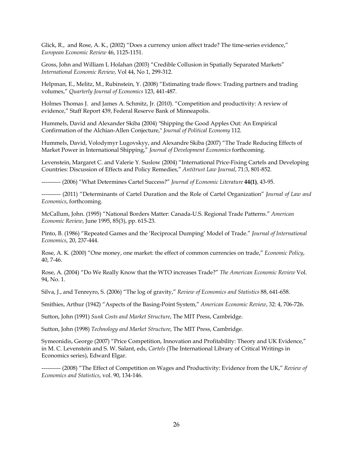Glick, R., and Rose, A. K., (2002) "Does a currency union affect trade? The time-series evidence," *European Economic Review* 46, 1125-1151.

Gross, John and William L Holahan (2003) "Credible Collusion in Spatially Separated Markets" *International Economic Review*, Vol 44, No 1, 299-312.

Helpman, E., Melitz, M., Rubinstein, Y. (2008) "Estimating trade flows: Trading partners and trading volumes," *Quarterly Journal of Economics* 123, 441-487.

Holmes Thomas J. and James A. Schmitz, Jr. (2010). "Competition and productivity: A review of evidence," Staff Report 439, Federal Reserve Bank of Minneapolis.

Hummels, David and Alexander Skiba (2004) "Shipping the Good Apples Out: An Empirical Confirmation of the Alchian-Allen Conjecture," *Journal of Political Economy* 112.

Hummels, David, Volodymyr Lugovskyy, and Alexandre Skiba (2007) "The Trade Reducing Effects of Market Power in International Shipping," *Journal of Development Economics* forthcoming.

Levenstein, Margaret C. and Valerie Y. Suslow (2004) "International Price-Fixing Cartels and Developing Countries: Discussion of Effects and Policy Remedies," *Antitrust Law Journal*, 71:3, 801-852.

---------- (2006) "What Determines Cartel Success?" *Journal of Economic Literature* **44(1)**, 43-95.

---------- (2011) "Determinants of Cartel Duration and the Role of Cartel Organization" *Journal of Law and Economics*, forthcoming.

McCallum, John. (1995) "National Borders Matter: Canada-U.S. Regional Trade Patterns." *American Economic Review*, June 1995, 85(3), pp. 615-23.

Pinto, B. (1986) "Repeated Games and the 'Reciprocal Dumping' Model of Trade." *Journal of International Economics*, 20, 237-444.

Rose, A. K. (2000) "One money, one market: the effect of common currencies on trade," *Economic Policy*, 40, 7-46.

Rose, A. (2004) "Do We Really Know that the WTO increases Trade?" *The American Economic Review* Vol. 94, No. 1.

Silva, J., and Tenreyro, S. (2006) "The log of gravity," *Review of Economics and Statistics* 88, 641-658.

Smithies, Arthur (1942) "Aspects of the Basing-Point System," *American Economic Review*, 32: 4, 706-726.

Sutton, John (1991) *Sunk Costs and Market Structure*, The MIT Press, Cambridge.

Sutton, John (1998) *Technology and Market Structure*, The MIT Press, Cambridge.

Symeonidis, George (2007) "Price Competition, Innovation and Profitability: Theory and UK Evidence," in M. C. Levenstein and S. W. Salant, eds, *Cartels* (The International Library of Critical Writings in Economics series), Edward Elgar.

---------- (2008) "The Effect of Competition on Wages and Productivity: Evidence from the UK," *Review of Economics and Statistics*, vol. 90, 134-146.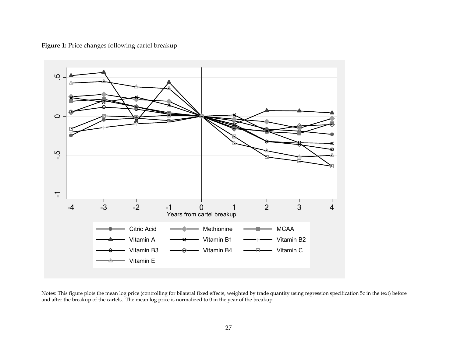Figure 1: Price changes following cartel breakup



Notes: This figure plots the mean log price (controlling for bilateral fixed effects, weighted by trade quantity using regression specification 5c in the text) before and after the breakup of the cartels. The mean log pric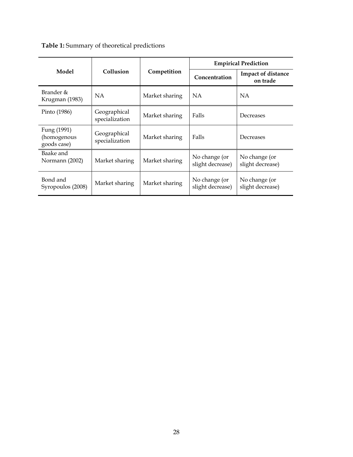**Table 1:** Summary of theoretical predictions

|                                           |                                |                | <b>Empirical Prediction</b>       |                                       |  |
|-------------------------------------------|--------------------------------|----------------|-----------------------------------|---------------------------------------|--|
| Model                                     | Collusion                      | Competition    | Concentration                     | <b>Impact of distance</b><br>on trade |  |
| Brander &<br>Krugman (1983)               | NA.                            | Market sharing | <b>NA</b>                         | NA.                                   |  |
| Pinto (1986)                              | Geographical<br>specialization | Market sharing | Falls                             | Decreases                             |  |
| Fung (1991)<br>(homogenous<br>goods case) | Geographical<br>specialization | Market sharing | Falls                             | Decreases                             |  |
| Baake and<br>Normann (2002)               | Market sharing                 | Market sharing | No change (or<br>slight decrease) | No change (or<br>slight decrease)     |  |
| Bond and<br>Syropoulos (2008)             | Market sharing                 | Market sharing | No change (or<br>slight decrease) | No change (or<br>slight decrease)     |  |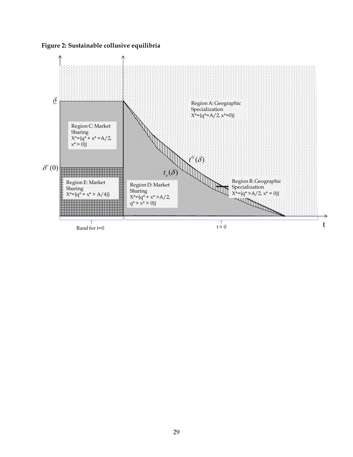**Figure 2: Sustainable collusive equilibria** 

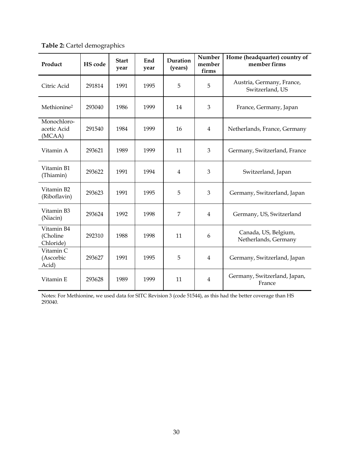| Product                              | <b>HS</b> code | <b>Start</b><br>year | End<br>year | Duration<br>(years) | Number<br>member<br>firms | Home (headquarter) country of<br>member firms |
|--------------------------------------|----------------|----------------------|-------------|---------------------|---------------------------|-----------------------------------------------|
| Citric Acid                          | 291814         | 1991                 | 1995        | 5                   | 5                         | Austria, Germany, France,<br>Switzerland, US  |
| Methionine <sup>2</sup>              | 293040         | 1986                 | 1999        | 14                  | 3                         | France, Germany, Japan                        |
| Monochloro-<br>acetic Acid<br>(MCAA) | 291540         | 1984                 | 1999        | 16                  | 4                         | Netherlands, France, Germany                  |
| Vitamin A                            | 293621         | 1989                 | 1999        | 11                  | 3                         | Germany, Switzerland, France                  |
| Vitamin B1<br>(Thiamin)              | 293622         | 1991                 | 1994        | 4                   | 3                         | Switzerland, Japan                            |
| Vitamin B2<br>(Riboflavin)           | 293623         | 1991                 | 1995        | 5                   | 3                         | Germany, Switzerland, Japan                   |
| Vitamin B3<br>(Niacin)               | 293624         | 1992                 | 1998        | 7                   | 4                         | Germany, US, Switzerland                      |
| Vitamin B4<br>(Choline<br>Chloride)  | 292310         | 1988                 | 1998        | 11                  | 6                         | Canada, US, Belgium,<br>Netherlands, Germany  |
| Vitamin C<br>(Ascorbic<br>Acid)      | 293627         | 1991                 | 1995        | 5                   | $\overline{4}$            | Germany, Switzerland, Japan                   |
| Vitamin E                            | 293628         | 1989                 | 1999        | 11                  | 4                         | Germany, Switzerland, Japan,<br>France        |

**Table 2:** Cartel demographics

Notes: For Methionine, we used data for SITC Revision 3 (code 51544), as this had the better coverage than HS 293040.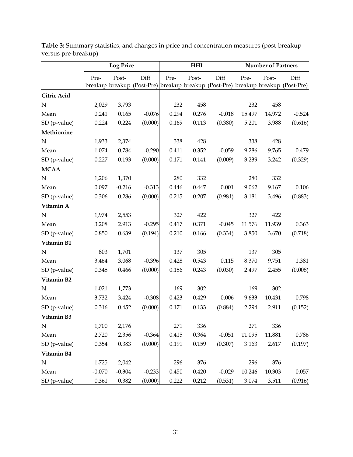|                |          | <b>Log Price</b> |                                                                               | <b>HHI</b> |       |          | <b>Number of Partners</b> |        |                    |
|----------------|----------|------------------|-------------------------------------------------------------------------------|------------|-------|----------|---------------------------|--------|--------------------|
|                | Pre-     | Post-            | Diff<br>breakup breakup (Post-Pre) breakup breakup (Post-Pre) breakup breakup | Pre-       | Post- | Diff     | Pre-                      | Post-  | Diff<br>(Post-Pre) |
| Citric Acid    |          |                  |                                                                               |            |       |          |                           |        |                    |
| $\mathbf N$    | 2,029    | 3,793            |                                                                               | 232        | 458   |          | 232                       | 458    |                    |
| Mean           | 0.241    | 0.165            | $-0.076$                                                                      | 0.294      | 0.276 | $-0.018$ | 15.497                    | 14.972 | $-0.524$           |
| SD (p-value)   | 0.224    | 0.224            | (0.000)                                                                       | 0.169      | 0.113 | (0.380)  | 5.201                     | 3.988  | (0.616)            |
| Methionine     |          |                  |                                                                               |            |       |          |                           |        |                    |
| N              | 1,933    | 2,374            |                                                                               | 338        | 428   |          | 338                       | 428    |                    |
| Mean           | 1.074    | 0.784            | $-0.290$                                                                      | 0.411      | 0.352 | $-0.059$ | 9.286                     | 9.765  | 0.479              |
| SD (p-value)   | 0.227    | 0.193            | (0.000)                                                                       | 0.171      | 0.141 | (0.009)  | 3.239                     | 3.242  | (0.329)            |
| <b>MCAA</b>    |          |                  |                                                                               |            |       |          |                           |        |                    |
| ${\bf N}$      | 1,206    | 1,370            |                                                                               | 280        | 332   |          | 280                       | 332    |                    |
| Mean           | 0.097    | $-0.216$         | $-0.313$                                                                      | 0.446      | 0.447 | 0.001    | 9.062                     | 9.167  | 0.106              |
| SD (p-value)   | 0.306    | 0.286            | (0.000)                                                                       | 0.215      | 0.207 | (0.981)  | 3.181                     | 3.496  | (0.883)            |
| Vitamin A      |          |                  |                                                                               |            |       |          |                           |        |                    |
| $\mathbf N$    | 1,974    | 2,553            |                                                                               | 327        | 422   |          | 327                       | 422    |                    |
| Mean           | 3.208    | 2.913            | $-0.295$                                                                      | 0.417      | 0.371 | $-0.045$ | 11.576                    | 11.939 | 0.363              |
| SD (p-value)   | 0.850    | 0.639            | (0.194)                                                                       | 0.210      | 0.166 | (0.334)  | 3.850                     | 3.670  | (0.718)            |
| Vitamin B1     |          |                  |                                                                               |            |       |          |                           |        |                    |
| N              | 803      | 1,701            |                                                                               | 137        | 305   |          | 137                       | 305    |                    |
| Mean           | 3.464    | 3.068            | $-0.396$                                                                      | 0.428      | 0.543 | 0.115    | 8.370                     | 9.751  | 1.381              |
| SD (p-value)   | 0.345    | 0.466            | (0.000)                                                                       | 0.156      | 0.243 | (0.030)  | 2.497                     | 2.455  | (0.008)            |
| Vitamin B2     |          |                  |                                                                               |            |       |          |                           |        |                    |
| ${\bf N}$      | 1,021    | 1,773            |                                                                               | 169        | 302   |          | 169                       | 302    |                    |
| Mean           | 3.732    | 3.424            | $-0.308$                                                                      | 0.423      | 0.429 | 0.006    | 9.633                     | 10.431 | 0.798              |
| $SD$ (p-value) | 0.316    | 0.452            | (0.000)                                                                       | 0.171      | 0.133 | (0.884)  | 2.294                     | 2.911  | (0.152)            |
| Vitamin B3     |          |                  |                                                                               |            |       |          |                           |        |                    |
| ${\bf N}$      | 1,700    | 2,176            |                                                                               | 271        | 336   |          | 271                       | 336    |                    |
| Mean           | 2.720    | 2.356            | $-0.364$                                                                      | 0.415      | 0.364 | $-0.051$ | 11.095                    | 11.881 | 0.786              |
| SD (p-value)   | 0.354    | 0.383            | (0.000)                                                                       | 0.191      | 0.159 | (0.307)  | 3.163                     | 2.617  | (0.197)            |
| Vitamin B4     |          |                  |                                                                               |            |       |          |                           |        |                    |
| ${\bf N}$      | 1,725    | 2,042            |                                                                               | 296        | 376   |          | 296                       | 376    |                    |
| Mean           | $-0.070$ | $-0.304$         | $-0.233$                                                                      | 0.450      | 0.420 | $-0.029$ | 10.246                    | 10.303 | 0.057              |
| SD (p-value)   | 0.361    | 0.382            | (0.000)                                                                       | 0.222      | 0.212 | (0.531)  | 3.074                     | 3.511  | (0.916)            |

**Table 3:** Summary statistics, and changes in price and concentration measures (post-breakup versus pre-breakup)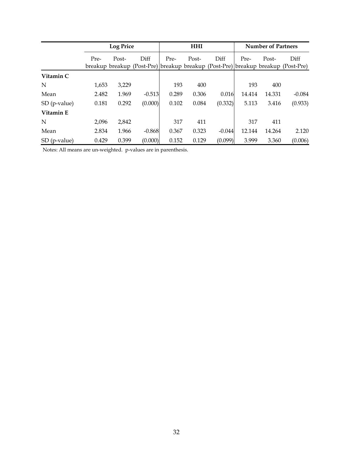|                | <b>Log Price</b> |       |          | <b>HHI</b> |       |          | <b>Number of Partners</b> |        |                                                                                  |
|----------------|------------------|-------|----------|------------|-------|----------|---------------------------|--------|----------------------------------------------------------------------------------|
|                | Pre-             | Post- | Diff     | Pre-       | Post- | Diff     | Pre-                      | Post-  | Diff                                                                             |
|                |                  |       |          |            |       |          |                           |        | breakup breakup (Post-Pre) breakup breakup (Post-Pre) breakup breakup (Post-Pre) |
| Vitamin C      |                  |       |          |            |       |          |                           |        |                                                                                  |
| N              | 1,653            | 3,229 |          | 193        | 400   |          | 193                       | 400    |                                                                                  |
| Mean           | 2.482            | 1.969 | $-0.513$ | 0.289      | 0.306 | 0.016    | 14.414                    | 14.331 | $-0.084$                                                                         |
| $SD$ (p-value) | 0.181            | 0.292 | (0.000)  | 0.102      | 0.084 | (0.332)  | 5.113                     | 3.416  | (0.933)                                                                          |
| Vitamin E      |                  |       |          |            |       |          |                           |        |                                                                                  |
| N              | 2,096            | 2,842 |          | 317        | 411   |          | 317                       | 411    |                                                                                  |
| Mean           | 2.834            | 1.966 | $-0.868$ | 0.367      | 0.323 | $-0.044$ | 12.144                    | 14.264 | 2.120                                                                            |
| $SD$ (p-value) | 0.429            | 0.399 | (0.000)  | 0.152      | 0.129 | (0.099)  | 3.999                     | 3.360  | (0.006)                                                                          |

Notes: All means are un-weighted. p-values are in parenthesis.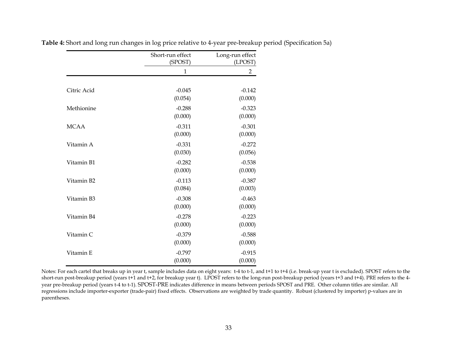|             | Short-run effect<br>(SPOST) | Long-run effect<br>(LPOST) |
|-------------|-----------------------------|----------------------------|
|             | $\mathbf{1}$                | $\overline{2}$             |
|             |                             |                            |
| Citric Acid | $-0.045$                    | $-0.142$                   |
|             | (0.054)                     | (0.000)                    |
| Methionine  | $-0.288$                    | $-0.323$                   |
|             | (0.000)                     | (0.000)                    |
| <b>MCAA</b> | $-0.311$                    | $-0.301$                   |
|             | (0.000)                     | (0.000)                    |
| Vitamin A   | $-0.331$                    | $-0.272$                   |
|             | (0.030)                     | (0.056)                    |
| Vitamin B1  | $-0.282$                    | $-0.538$                   |
|             | (0.000)                     | (0.000)                    |
| Vitamin B2  | $-0.113$                    | $-0.387$                   |
|             | (0.084)                     | (0.003)                    |
| Vitamin B3  | $-0.308$                    | $-0.463$                   |
|             | (0.000)                     | (0.000)                    |
| Vitamin B4  | $-0.278$                    | $-0.223$                   |
|             | (0.000)                     | (0.000)                    |
| Vitamin C   | $-0.379$                    | $-0.588$                   |
|             | (0.000)                     | (0.000)                    |
| Vitamin E   | $-0.797$                    | $-0.915$                   |
|             | (0.000)                     | (0.000)                    |

**Table 4:** Short and long run changes in log price relative to 4-year pre-breakup period (Specification 5a)

Notes: For each cartel that breaks up in year t, sample includes data on eight years: t-4 to t-1, and t+1 to t+4 (i.e. break-up year t is excluded). SPOST refers to the short-run post-breakup period (years t+1 and t+2, for breakup year t). LPOST refers to the long-run post-breakup period (years t+3 and t+4). PRE refers to the 4 year pre-breakup period (years t-4 to t-1). SPOST-PRE indicates difference in means between periods SPOST and PRE. Other column titles are similar. All regressions include importer-exporter (trade-pair) fixed effects. Observations are weighted by trade quantity. Robust (clustered by importer) p-values are in parentheses.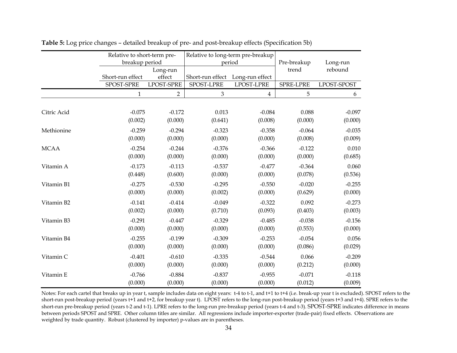|             | Relative to short-term pre- |                     |                     | Relative to long-term pre-breakup |                     |                     |  |
|-------------|-----------------------------|---------------------|---------------------|-----------------------------------|---------------------|---------------------|--|
|             | breakup period              |                     |                     | period                            | Pre-breakup         | Long-run            |  |
|             |                             | Long-run            |                     |                                   | trend               | rebound             |  |
|             | Short-run effect            | effect              | Short-run effect    | Long-run effect                   |                     |                     |  |
|             | SPOST-SPRE                  | <b>LPOST-SPRE</b>   | SPOST-LPRE          | LPOST-LPRE                        | SPRE-LPRE           | LPOST-SPOST         |  |
|             | $\mathbf{1}$                | $\overline{2}$      | $\mathfrak{Z}$      | $\overline{4}$                    | 5                   | 6                   |  |
| Citric Acid | $-0.075$                    | $-0.172$            | 0.013               | $-0.084$                          | 0.088               | $-0.097$            |  |
|             | (0.002)                     | (0.000)             | (0.641)             | (0.008)                           | (0.000)             | (0.000)             |  |
| Methionine  | $-0.259$<br>(0.000)         | $-0.294$<br>(0.000) | $-0.323$<br>(0.000) | $-0.358$<br>(0.000)               | $-0.064$<br>(0.008) | $-0.035$<br>(0.009) |  |
| <b>MCAA</b> | $-0.254$                    | $-0.244$            | $-0.376$            | $-0.366$                          | $-0.122$            | 0.010               |  |
|             | (0.000)                     | (0.000)             | (0.000)             | (0.000)                           | (0.000)             | (0.685)             |  |
| Vitamin A   | $-0.173$<br>(0.448)         | $-0.113$<br>(0.600) | $-0.537$<br>(0.000) | $-0.477$<br>(0.000)               | $-0.364$<br>(0.078) | 0.060<br>(0.536)    |  |
| Vitamin B1  | $-0.275$<br>(0.000)         | $-0.530$<br>(0.000) | $-0.295$<br>(0.002) | $-0.550$<br>(0.000)               | $-0.020$<br>(0.629) | $-0.255$<br>(0.000) |  |
| Vitamin B2  | $-0.141$<br>(0.002)         | $-0.414$<br>(0.000) | $-0.049$<br>(0.710) | $-0.322$<br>(0.093)               | 0.092<br>(0.403)    | $-0.273$<br>(0.003) |  |
| Vitamin B3  | $-0.291$<br>(0.000)         | $-0.447$<br>(0.000) | $-0.329$<br>(0.000) | $-0.485$<br>(0.000)               | $-0.038$<br>(0.553) | $-0.156$<br>(0.000) |  |
| Vitamin B4  | $-0.255$<br>(0.000)         | $-0.199$<br>(0.000) | $-0.309$<br>(0.000) | $-0.253$<br>(0.000)               | $-0.054$<br>(0.086) | 0.056<br>(0.029)    |  |
| Vitamin C   | $-0.401$<br>(0.000)         | $-0.610$<br>(0.000) | $-0.335$<br>(0.000) | $-0.544$<br>(0.000)               | 0.066<br>(0.212)    | $-0.209$<br>(0.000) |  |
| Vitamin E   | $-0.766$<br>(0.000)         | $-0.884$<br>(0.000) | $-0.837$<br>(0.000) | $-0.955$<br>(0.000)               | $-0.071$<br>(0.012) | $-0.118$<br>(0.009) |  |

| Table 5: Log price changes - detailed breakup of pre- and post-breakup effects (Specification 5b) |  |  |  |
|---------------------------------------------------------------------------------------------------|--|--|--|
|                                                                                                   |  |  |  |

Notes: For each cartel that breaks up in year t, sample includes data on eight years: t-4 to t-1, and t+1 to t+4 (i.e. break-up year t is excluded). SPOST refers to the short-run post-breakup period (years t+1 and t+2, for breakup year t). LPOST refers to the long-run post-breakup period (years t+3 and t+4). SPRE refers to the short-run pre-breakup period (years t-2 and t-1). LPRE refers to the long-run pre-breakup period (years t-4 and t-3). SPOST-SPRE indicates difference in means between periods SPOST and SPRE. Other column titles are similar. All regressions include importer-exporter (trade-pair) fixed effects. Observations are weighted by trade quantity. Robust (clustered by importer) p-values are in parentheses.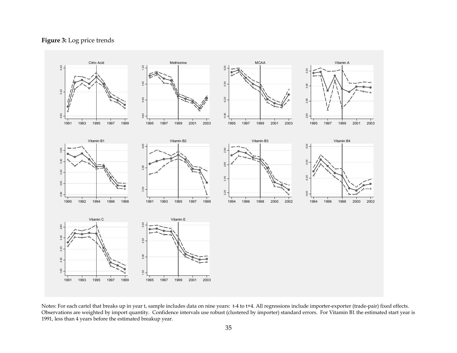### **Figure 3:** Log price trends



Notes: For each cartel that breaks up in year t, sample includes data on nine years: t-4 to t+4. All regressions include importer-exporter (trade-pair) fixed effects. Observations are weighted by import quantity. Confidence intervals use robust (clustered by importer) standard errors. For Vitamin B1 the estimated start year is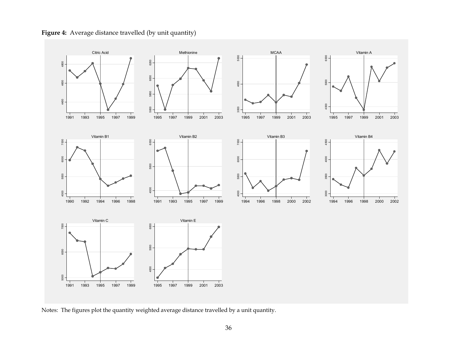

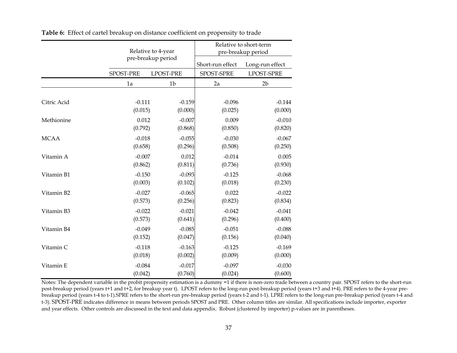|             |           | Relative to 4-year | Relative to short-term<br>pre-breakup period |                   |  |
|-------------|-----------|--------------------|----------------------------------------------|-------------------|--|
|             |           | pre-breakup period | Short-run effect                             | Long-run effect   |  |
|             | SPOST-PRE | <b>LPOST-PRE</b>   | SPOST-SPRE                                   | <b>LPOST-SPRE</b> |  |
|             | 1a        | 1 <sub>b</sub>     | 2a                                           | 2 <sub>b</sub>    |  |
| Citric Acid | $-0.111$  | $-0.159$           | $-0.096$                                     | $-0.144$          |  |
|             | (0.015)   | (0.000)            | (0.025)                                      | (0.000)           |  |
| Methionine  | 0.012     | $-0.007$           | 0.009                                        | $-0.010$          |  |
|             | (0.792)   | (0.868)            | (0.850)                                      | (0.820)           |  |
| <b>MCAA</b> | $-0.018$  | $-0.055$           | $-0.030$                                     | $-0.067$          |  |
|             | (0.658)   | (0.296)            | (0.508)                                      | (0.250)           |  |
| Vitamin A   | $-0.007$  | 0.012              | $-0.014$                                     | 0.005             |  |
|             | (0.862)   | (0.811)            | (0.736)                                      | (0.930)           |  |
| Vitamin B1  | $-0.150$  | $-0.093$           | $-0.125$                                     | $-0.068$          |  |
|             | (0.003)   | (0.102)            | (0.018)                                      | (0.230)           |  |
| Vitamin B2  | $-0.027$  | $-0.065$           | 0.022                                        | $-0.022$          |  |
|             | (0.573)   | (0.256)            | (0.823)                                      | (0.834)           |  |
| Vitamin B3  | $-0.022$  | $-0.021$           | $-0.042$                                     | $-0.041$          |  |
|             | (0.573)   | (0.641)            | (0.296)                                      | (0.400)           |  |
| Vitamin B4  | $-0.049$  | $-0.085$           | $-0.051$                                     | $-0.088$          |  |
|             | (0.152)   | (0.047)            | (0.156)                                      | (0.040)           |  |
| Vitamin C   | $-0.118$  | $-0.163$           | $-0.125$                                     | $-0.169$          |  |
|             | (0.018)   | (0.002)            | (0.009)                                      | (0.000)           |  |
| Vitamin E   | $-0.084$  | $-0.017$           | $-0.097$                                     | $-0.030$          |  |
|             | (0.042)   | (0.760)            | (0.024)                                      | (0.600)           |  |

**Table 6:** Effect of cartel breakup on distance coefficient on propensity to trade

Notes: The dependent variable in the probit propensity estimation is a dummy =1 if there is non-zero trade between a country pair. SPOST refers to the short-run post-breakup period (years t+1 and t+2, for breakup year t). LPOST refers to the long-run post-breakup period (years t+3 and t+4). PRE refers to the 4-year prebreakup period (years t-4 to t-1).SPRE refers to the short-run pre-breakup period (years t-2 and t-1). LPRE refers to the long-run pre-breakup period (years t-4 and t-3). SPOST-PRE indicates difference in means between periods SPOST and PRE. Other column titles are similar. All specifications include importer, exporter and year effects. Other controls are discussed in the text and data appendix. Robust (clustered by importer) p-values are in parentheses.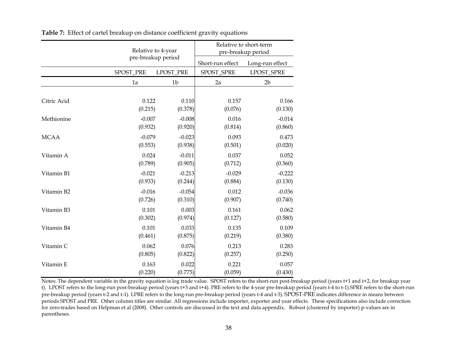|             |           | Relative to 4-year | Relative to short-term<br>pre-breakup period |                 |  |
|-------------|-----------|--------------------|----------------------------------------------|-----------------|--|
|             |           | pre-breakup period | Short-run effect                             | Long-run effect |  |
|             | SPOST_PRE | LPOST_PRE          | SPOST_SPRE                                   | LPOST_SPRE      |  |
|             | 1a        | 1 <sub>b</sub>     | 2a                                           | 2 <sub>b</sub>  |  |
| Citric Acid | 0.122     | 0.110              | 0.157                                        | 0.166           |  |
|             | (0.215)   | (0.378)            | (0.076)                                      | (0.130)         |  |
| Methionine  | $-0.007$  | $-0.008$           | 0.016                                        | $-0.014$        |  |
|             | (0.932)   | (0.920)            | (0.814)                                      | (0.860)         |  |
| <b>MCAA</b> | $-0.079$  | $-0.023$           | 0.093                                        | 0.473           |  |
|             | (0.553)   | (0.938)            | (0.501)                                      | (0.020)         |  |
| Vitamin A   | 0.024     | $-0.011$           | 0.037                                        | 0.052           |  |
|             | (0.789)   | (0.905)            | (0.712)                                      | (0.560)         |  |
| Vitamin B1  | $-0.021$  | $-0.213$           | $-0.029$                                     | $-0.222$        |  |
|             | (0.933)   | (0.244)            | (0.884)                                      | (0.130)         |  |
| Vitamin B2  | $-0.016$  | $-0.054$           | 0.012                                        | $-0.036$        |  |
|             | (0.726)   | (0.310)            | (0.907)                                      | (0.740)         |  |
| Vitamin B3  | 0.101     | 0.003              | 0.161                                        | 0.062           |  |
|             | (0.302)   | (0.974)            | (0.127)                                      | (0.580)         |  |
| Vitamin B4  | 0.101     | 0.033              | 0.135                                        | 0.109           |  |
|             | (0.461)   | (0.875)            | (0.219)                                      | (0.380)         |  |
| Vitamin C   | 0.062     | 0.076              | 0.213                                        | 0.283           |  |
|             | (0.805)   | (0.822)            | (0.257)                                      | (0.250)         |  |
| Vitamin E   | 0.163     | 0.022              | 0.221                                        | 0.057           |  |
|             | (0.220)   | (0.775)            | (0.059)                                      | (0.430)         |  |

**Table 7:** Effect of cartel breakup on distance coefficient gravity equations

Notes: The dependent variable in the gravity equation is log trade value. SPOST refers to the short-run post-breakup period (years t+1 and t+2, for breakup year t). LPOST refers to the long-run post-breakup period (years t+3 and t+4). PRE refers to the 4-year pre-breakup period (years t-4 to t-1).SPRE refers to the short-run pre-breakup period (years t-2 and t-1). LPRE refers to the long-run pre-breakup period (years t-4 and t-3). SPOST-PRE indicates difference in means between periods SPOST and PRE. Other column titles are similar. All regressions include importer, exporter and year effects. These specifications also include correction for zero-trades based on Helpman et al (2008). Other controls are discussed in the text and data appendix. Robust (clustered by importer) p-values are in parentheses.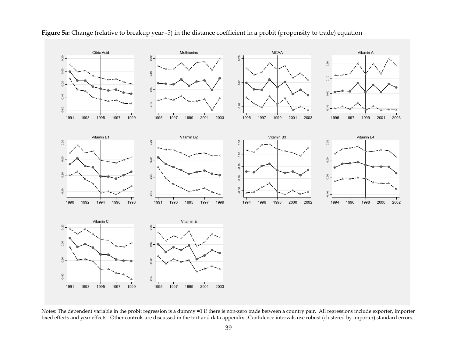

### **Figure 5a:** Change (relative to breakup year -5) in the distance coefficient in a probit (propensity to trade) equation

Notes: The dependent variable in the probit regression is a dummy =1 if there is non-zero trade between a country pair. All regressions include exporter, importer fixed effects and year effects. Other controls are discusse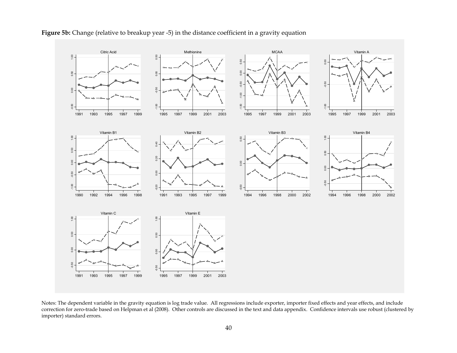

### **Figure 5b:** Change (relative to breakup year -5) in the distance coefficient in a gravity equation

Notes: The dependent variable in the gravity equation is log trade value. All regressions include exporter, importer fixed effects and year effects, and include correction for zero-trade based on Helpman et al (2008). Other controls are discussed in the text and data appendix. Confidence intervals use robust (clustered by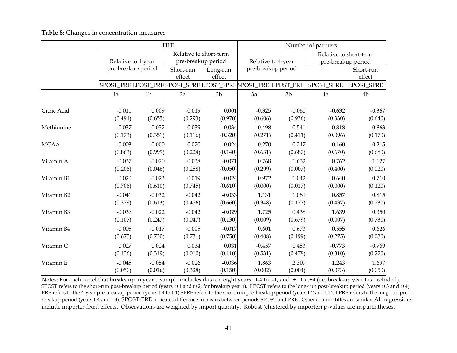|             |                    | HHI            |                                              |                    |                    |                                                                             | Number of partners                           |                     |  |  |
|-------------|--------------------|----------------|----------------------------------------------|--------------------|--------------------|-----------------------------------------------------------------------------|----------------------------------------------|---------------------|--|--|
|             | Relative to 4-year |                | Relative to short-term<br>pre-breakup period |                    | Relative to 4-year |                                                                             | Relative to short-term<br>pre-breakup period |                     |  |  |
|             | pre-breakup period |                | Short-run<br>effect                          | Long-run<br>effect | pre-breakup period |                                                                             |                                              | Short-run<br>effect |  |  |
|             |                    |                |                                              |                    |                    | SPOST_PRE LPOST_PRE SPOST_SPRE LPOST_SPRE SPOST_PRE LPOST_PRE<br>SPOST_SPRE |                                              | LPOST_SPRE          |  |  |
|             | 1a                 | 1 <sub>b</sub> | 2a                                           | 2 <sub>b</sub>     | 3a                 | 3 <sub>b</sub>                                                              | 4a                                           | 4b                  |  |  |
| Citric Acid | $-0.011$           | 0.009          | $-0.019$                                     | 0.001              | $-0.325$           | $-0.060$                                                                    | $-0.632$                                     | $-0.367$            |  |  |
|             | (0.491)            | (0.655)        | (0.293)                                      | (0.970)            | (0.606)            | (0.936)                                                                     | (0.330)                                      | (0.640)             |  |  |
| Methionine  | $-0.037$           | $-0.032$       | $-0.039$                                     | $-0.034$           | 0.498              | 0.541                                                                       | 0.818                                        | 0.863               |  |  |
|             | (0.173)            | (0.351)        | (0.116)                                      | (0.320)            | (0.271)            | (0.411)                                                                     | (0.096)                                      | (0.170)             |  |  |
| <b>MCAA</b> | $-0.003$           | 0.000          | 0.020                                        | 0.024              | 0.270              | 0.217                                                                       | $-0.160$                                     | $-0.215$            |  |  |
|             | (0.863)            | (0.999)        | (0.224)                                      | (0.140)            | (0.631)            | (0.687)                                                                     | (0.670)                                      | (0.680)             |  |  |
| Vitamin A   | $-0.037$           | $-0.070$       | $-0.038$                                     | $-0.071$           | 0.768              | 1.632                                                                       | 0.762                                        | 1.627               |  |  |
|             | (0.206)            | (0.046)        | (0.258)                                      | (0.050)            | (0.299)            | (0.007)                                                                     | (0.400)                                      | (0.020)             |  |  |
| Vitamin B1  | 0.020              | $-0.023$       | 0.019                                        | $-0.024$           | 0.972              | 1.042                                                                       | 0.640                                        | 0.710               |  |  |
|             | (0.706)            | (0.610)        | (0.745)                                      | (0.610)            | (0.000)            | (0.017)                                                                     | (0.000)                                      | (0.120)             |  |  |
| Vitamin B2  | $-0.041$           | $-0.032$       | $-0.042$                                     | $-0.033$           | 1.131              | 1.089                                                                       | 0.857                                        | 0.815               |  |  |
|             | (0.379)            | (0.613)        | (0.456)                                      | (0.660)            | (0.348)            | (0.177)                                                                     | (0.437)                                      | (0.230)             |  |  |
| Vitamin B3  | $-0.036$           | $-0.022$       | $-0.042$                                     | $-0.029$           | 1.725              | 0.438                                                                       | 1.639                                        | 0.350               |  |  |
|             | (0.107)            | (0.247)        | (0.047)                                      | (0.130)            | (0.009)            | (0.679)                                                                     | (0.007)                                      | (0.730)             |  |  |
| Vitamin B4  | $-0.005$           | $-0.017$       | $-0.005$                                     | $-0.017$           | 0.601              | 0.673                                                                       | 0.555                                        | 0.626               |  |  |
|             | (0.675)            | (0.730)        | (0.731)                                      | (0.750)            | (0.408)            | (0.199)                                                                     | (0.275)                                      | (0.030)             |  |  |
| Vitamin C   | 0.027              | 0.024          | 0.034                                        | 0.031              | $-0.457$           | $-0.453$                                                                    | $-0.773$                                     | $-0.769$            |  |  |
|             | (0.136)            | (0.319)        | (0.010)                                      | (0.110)            | (0.531)            | (0.478)                                                                     | (0.310)                                      | (0.220)             |  |  |
| Vitamin E   | $-0.045$           | $-0.054$       | $-0.026$                                     | $-0.036$           | 1.863              | 2.309                                                                       | 1.243                                        | 1.697               |  |  |
|             | (0.050)            | (0.016)        | (0.328)                                      | (0.150)            | (0.002)            | (0.004)                                                                     | (0.073)                                      | (0.050)             |  |  |

**Table 8:** Changes in concentration measures

Notes: For each cartel that breaks up in year t, sample includes data on eight years: t-4 to t-1, and t+1 to t+4 (i.e. break-up year t is excluded). SPOST refers to the short-run post-breakup period (years t+1 and t+2, for breakup year t). LPOST refers to the long-run post-breakup period (years t+3 and t+4). PRE refers to the 4-year pre-breakup period (years t-4 to t-1).SPRE refers to the short-run pre-breakup period (years t-2 and t-1). LPRE refers to the long-run prebreakup period (years t-4 and t-3). SPOST-PRE indicates difference in means between periods SPOST and PRE. Other column titles are similar. All regressions include importer fixed effects. Observations are weighted by import quantity. Robust (clustered by importer) p-values are in parentheses.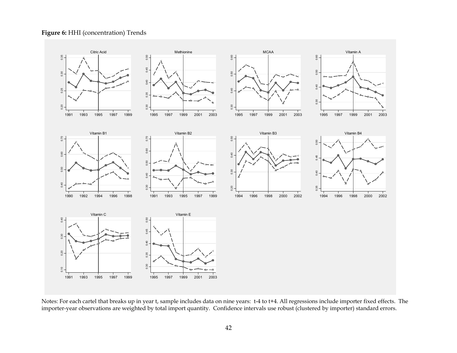### **Figure 6:** HHI (concentration) Trends



Notes: For each cartel that breaks up in year t, sample includes data on nine years: t-4 to t+4. All regressions include importer fixed effects. The importer-year observations are weighted by total import quantity. Confide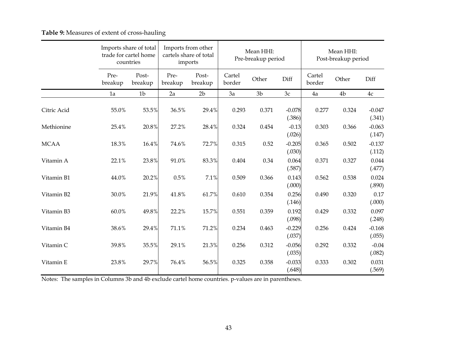## **Table 9:** Measures of extent of cross-hauling

|             |                 | Imports share of total<br>trade for cartel home<br>countries | Imports from other<br>cartels share of total<br>imports |                  | Mean HHI:<br>Pre-breakup period |                |                    | Mean HHI:<br>Post-breakup period |       |                    |
|-------------|-----------------|--------------------------------------------------------------|---------------------------------------------------------|------------------|---------------------------------|----------------|--------------------|----------------------------------|-------|--------------------|
|             | Pre-<br>breakup | Post-<br>breakup                                             | Pre-<br>breakup                                         | Post-<br>breakup | Cartel<br>border                | Other          | Diff               | Cartel<br>border                 | Other | Diff               |
|             | 1a              | 1 <sub>b</sub>                                               | 2a                                                      | 2 <sub>b</sub>   | 3a                              | 3 <sub>b</sub> | 3c                 | 4a                               | 4b    | $4\mathrm{c}$      |
| Citric Acid | 55.0%           | 53.5%                                                        | 36.5%                                                   | 29.4%            | 0.293                           | 0.371          | $-0.078$<br>(.386) | 0.277                            | 0.324 | $-0.047$<br>(.341) |
| Methionine  | 25.4%           | 20.8%                                                        | 27.2%                                                   | 28.4%            | 0.324                           | 0.454          | $-0.13$<br>(.026)  | 0.303                            | 0.366 | $-0.063$<br>(.147) |
| <b>MCAA</b> | 18.3%           | $16.4\%$                                                     | 74.6%                                                   | 72.7%            | 0.315                           | 0.52           | $-0.205$<br>(.030) | 0.365                            | 0.502 | $-0.137$<br>(.112) |
| Vitamin A   | 22.1%           | 23.8%                                                        | 91.0%                                                   | 83.3%            | 0.404                           | 0.34           | 0.064<br>(.587)    | 0.371                            | 0.327 | 0.044<br>(.477)    |
| Vitamin B1  | 44.0%           | 20.2%                                                        | 0.5%                                                    | 7.1%             | 0.509                           | 0.366          | 0.143<br>(.000)    | 0.562                            | 0.538 | 0.024<br>(.890)    |
| Vitamin B2  | 30.0%           | 21.9%                                                        | 41.8%                                                   | 61.7%            | 0.610                           | 0.354          | 0.256<br>(.146)    | 0.490                            | 0.320 | 0.17<br>(.000)     |
| Vitamin B3  | $60.0\%$        | 49.8%                                                        | 22.2%                                                   | 15.7%            | 0.551                           | 0.359          | 0.192<br>(.098)    | 0.429                            | 0.332 | 0.097<br>(.248)    |
| Vitamin B4  | 38.6%           | 29.4%                                                        | 71.1%                                                   | 71.2%            | 0.234                           | 0.463          | $-0.229$<br>(.037) | 0.256                            | 0.424 | $-0.168$<br>(.055) |
| Vitamin C   | 39.8%           | 35.5%                                                        | 29.1%                                                   | 21.3%            | 0.256                           | 0.312          | $-0.056$<br>(.035) | 0.292                            | 0.332 | $-0.04$<br>(.082)  |
| Vitamin E   | 23.8%           | 29.7%                                                        | 76.4%                                                   | 56.5%            | 0.325                           | 0.358          | $-0.033$<br>(.648) | 0.333                            | 0.302 | 0.031<br>(.569)    |

Notes: The samples in Columns 3b and 4b exclude cartel home countries. p-values are in parentheses.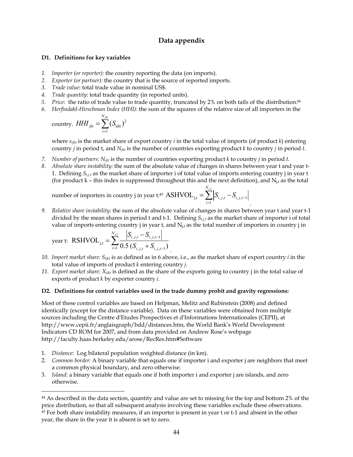### **Data appendix**

#### **D1. Definitions for key variables**

- *1. Importer (or reporter):* the country reporting the data (on imports).
- *2. Exporter (or partner):* the country that is the source of reported imports.
- *3. Trade value*: total trade value in nominal US\$.
- *4. Trade quantity*: total trade quantity (in reported units).
- *5. Price*: the ratio of trade value to trade quantity, truncated by 2% on both tails of the distribution.44
- *6. Herfindahl-Hirschman Index (HHI)*: the sum of the squares of the relative size of all importers in the

$$
country. \ HHI_{jkt} = \sum_{i=1}^{N_{jkt}} (S_{ijkt})^2
$$

where *sijkt* is the market share of export country *i* in the total value of imports (of product *k*) entering country *j* in period t, and *Njkt* is the number of countries exporting product *k* to country *j* in period *t*.

- *7. Number of partners: Njkt* is the number of countries exporting product *k* to country *j* in period *t*.
- *8. Absolute share instability:* the sum of the absolute value of changes in shares between year t and year t-1. Defining *Si,j,t* as the market share of importer i of total value of imports entering country j in year t (for product  $k$  – this index is suppressed throughout this and the next definition), and  $N_{i,t}$  as the total

number of importers in country j in year t:45 ,  $\mathbf{y}_{i,t} = \sum_{j} |B_{i,j,t} - B_{i,j,t-1}|$ 1  $ASHVOL_{i,t} = \sum_{i}^{N_{j,t}}$ *i j t N i*  $S_{i,j,t} - S_{i,j,t-}$  $=\sum_{i=1}^{N}\Bigl|S_{i,j,t}-$ 

*9. Relative share instability:* the sum of the absolute value of changes in shares between year t and year t-1 divided by the mean shares in period t and t-1. Defining *Si,j,t* as the market share of importer i of total value of imports entering country  $j$  in year t, and  $N_{j,t}$  as the total number of importers in country  $j$  in

.

year t: RSHVOL<sub>j,t</sub> = 
$$
\sum_{i=1}^{N_{j,t}} \frac{|S_{i,j,t} - S_{i,j,t-1}|}{0.5 (S_{i,j,t} + S_{i,j,t-1})}
$$

- *10. Import market share: Sijkt* is as defined as in 6 above, i.e., as the market share of export country *i* in the total value of imports of product *k* entering country *j.*
- *11. Export market share: Xijkt* is defined as the share of the exports going to country j in the total value of exports of product *k* by exporter country *i.*

#### **D2. Definitions for control variables used in the trade dummy probit and gravity regressions:**

Most of these control variables are based on Helpman, Melitz and Rubinstein (2008) and defined identically (except for the distance variable). Data on these variables were obtained from multiple sources including the Centre d'Etudes Prospectives et d'Informations Internationales (CEPII), at http://www.cepii.fr/anglaisgraph/bdd/distances.htm, the World Bank's World Development Indicators CD ROM for 2007, and from data provided on Andrew Rose's webpage http://faculty.haas.berkeley.edu/arose/RecRes.htm#Software

1. *Distance*: Log bilateral population weighted distance (in km).

- 2. *Common border*: A binary variable that equals one if importer i and exporter j are neighbors that meet a common physical boundary, and zero otherwise.
- 3. *Island*: a binary variable that equals one if both importer i and exporter j are islands, and zero otherwise.

<sup>44</sup> As described in the data section, quantity and value are set to missing for the top and bottom 2% of the price distribution, so that all subsequent analysis involving these variables exclude these observations.

<sup>45</sup> For both share instability measures, if an importer is present in year t or t-1 and absent in the other year, the share in the year it is absent is set to zero.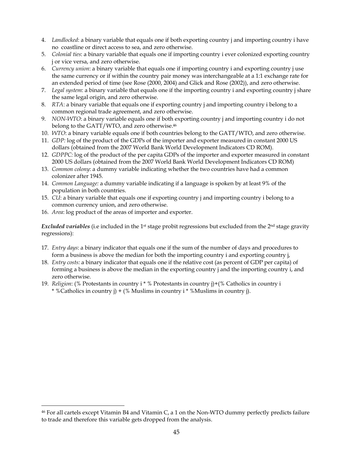- 4. *Landlocked*: a binary variable that equals one if both exporting country j and importing country i have no coastline or direct access to sea, and zero otherwise.
- 5. *Colonial ties*: a binary variable that equals one if importing country i ever colonized exporting country j or vice versa, and zero otherwise.
- 6. *Currency union*: a binary variable that equals one if importing country i and exporting country j use the same currency or if within the country pair money was interchangeable at a 1:1 exchange rate for an extended period of time (see Rose (2000, 2004) and Glick and Rose (2002)), and zero otherwise.
- 7. *Legal system*: a binary variable that equals one if the importing country i and exporting country j share the same legal origin, and zero otherwise.
- 8. *RTA*: a binary variable that equals one if exporting country j and importing country i belong to a common regional trade agreement, and zero otherwise.
- 9. *NON-WTO*: a binary variable equals one if both exporting country j and importing country i do not belong to the GATT/WTO, and zero otherwise.<sup>46</sup>
- 10. *WTO*: a binary variable equals one if both countries belong to the GATT/WTO, and zero otherwise.
- 11. *GDP:* log of the product of the GDPs of the importer and exporter measured in constant 2000 US dollars (obtained from the 2007 World Bank World Development Indicators CD ROM).
- 12. *GDPPC:* log of the product of the per capita GDPs of the importer and exporter measured in constant 2000 US dollars (obtained from the 2007 World Bank World Development Indicators CD ROM)
- 13. *Common colony*: a dummy variable indicating whether the two countries have had a common colonizer after 1945.
- 14. *Common Language:* a dummy variable indicating if a language is spoken by at least 9% of the population in both countries.
- 15. *CU*: a binary variable that equals one if exporting country j and importing country i belong to a common currency union, and zero otherwise.
- 16. *Area*: log product of the areas of importer and exporter.

<u>.</u>

*Excluded variables* (i.e included in the 1<sup>st</sup> stage probit regressions but excluded from the 2<sup>nd</sup> stage gravity regressions):

- 17. *Entry days*: a binary indicator that equals one if the sum of the number of days and procedures to form a business is above the median for both the importing country i and exporting country j,
- 18. *Entry costs:* a binary indicator that equals one if the relative cost (as percent of GDP per capita) of forming a business is above the median in the exporting country j and the importing country i, and zero otherwise.
- 19. *Religion*: (% Protestants in country i \* % Protestants in country j)+(% Catholics in country i \* %Catholics in country j) + (% Muslims in country i \* %Muslims in country j).

<sup>46</sup> For all cartels except Vitamin B4 and Vitamin C, a 1 on the Non-WTO dummy perfectly predicts failure to trade and therefore this variable gets dropped from the analysis.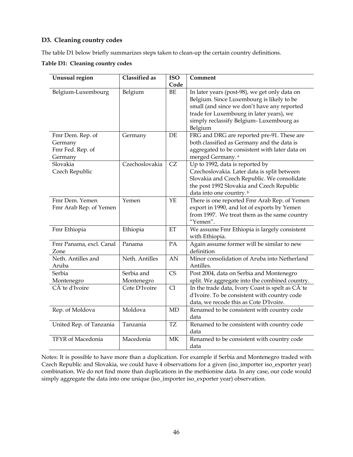### **D3. Cleaning country codes**

The table D1 below briefly summarizes steps taken to clean-up the certain country definitions.

**Table D1: Cleaning country codes** 

| Unusual region           | <b>Classified as</b> | <b>ISO</b> | Comment                                          |
|--------------------------|----------------------|------------|--------------------------------------------------|
|                          |                      | Code       |                                                  |
| Belgium-Luxembourg       | Belgium              | BE         | In later years (post-98), we get only data on    |
|                          |                      |            | Belgium. Since Luxembourg is likely to be        |
|                          |                      |            | small (and since we don't have any reported      |
|                          |                      |            | trade for Luxembourg in later years), we         |
|                          |                      |            | simply reclassify Belgium-Luxembourg as          |
|                          |                      |            | Belgium                                          |
| Fmr Dem. Rep. of         | Germany              | DE         | FRG and DRG are reported pre-91. These are       |
| Germany                  |                      |            | both classified as Germany and the data is       |
| Fmr Fed. Rep. of         |                      |            | aggregated to be consistent with later data on   |
| Germany                  |                      |            | merged Germany. <sup>a</sup>                     |
| Slovakia                 | Czechoslovakia       | CZ         | Up to 1992, data is reported by                  |
| Czech Republic           |                      |            | Czechoslovakia. Later data is split between      |
|                          |                      |            | Slovakia and Czech Republic. We consolidate      |
|                          |                      |            | the post 1992 Slovakia and Czech Republic        |
|                          |                      |            | data into one country. <sup>b</sup>              |
| Fmr Dem. Yemen           | Yemen                | YE         | There is one reported Fmr Arab Rep. of Yemen     |
| Fmr Arab Rep. of Yemen   |                      |            | export in 1990, and lot of exports by Yemen      |
|                          |                      |            | from 1997. We treat them as the same country     |
|                          |                      |            | "Yemen".                                         |
| Fmr Ethiopia             | Ethiopia             | ET         | We assume Fmr Ethiopia is largely consistent     |
|                          |                      |            | with Ethiopia.                                   |
| Fmr Panama, excl. Canal  | Panama               | PA         | Again assume former will be similar to new       |
| Zone                     |                      |            | definition                                       |
| Neth. Antilles and       | Neth. Antilles       | AN         | Minor consolidation of Aruba into Netherland     |
| Aruba                    |                      |            | Antilles.                                        |
| Serbia                   | Serbia and           | CS         | Post 2004, data on Serbia and Montenegro         |
| Montenegro               | Montenegro           |            | split. We aggregate into the combined country.   |
| CÃ 'te d'Ivoire          | Cote D'Ivoire        | CI         | In the trade data, Ivory Coast is spelt as CÃ'te |
|                          |                      |            | d'Ivoire. To be consistent with country code     |
|                          |                      |            | data, we recode this as Cote D'Ivoire.           |
| Rep. of Moldova          | Moldova              | MD         | Renamed to be consistent with country code       |
|                          |                      |            | data                                             |
| United Rep. of Tanzania  | Tanzania             | <b>TZ</b>  | Renamed to be consistent with country code       |
|                          |                      |            | data                                             |
| <b>TFYR</b> of Macedonia | Macedonia            | MK         | Renamed to be consistent with country code       |
|                          |                      |            | data                                             |

Notes: It is possible to have more than a duplication. For example if Serbia and Montenegro traded with Czech Republic and Slovakia, we could have 4 observations for a given (iso\_importer iso\_exporter year) combination. We do not find more than duplications in the methionine data. In any case, our code would simply aggregate the data into one unique (iso\_importer iso\_exporter year) observation.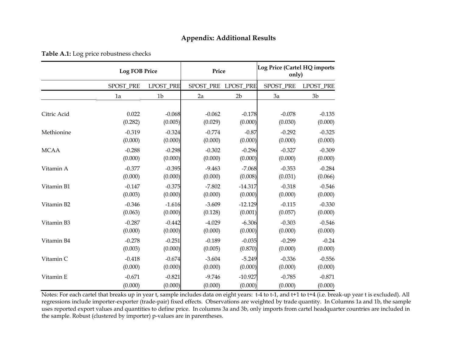|  |  |  | Table A.1: Log price robustness checks |  |
|--|--|--|----------------------------------------|--|
|--|--|--|----------------------------------------|--|

|             |           | <b>Log FOB Price</b> |                     | Price          | Log Price (Cartel HQ imports<br>only) |                |  |
|-------------|-----------|----------------------|---------------------|----------------|---------------------------------------|----------------|--|
|             | SPOST_PRE | LPOST_PRE            | SPOST PRE LPOST PRE |                | <b>SPOST PRE</b>                      | LPOST_PRE      |  |
|             | 1a        | 1 <sub>b</sub>       | 2a                  | 2 <sub>b</sub> | 3a                                    | 3 <sub>b</sub> |  |
| Citric Acid | 0.022     | $-0.068$             | $-0.062$            | $-0.178$       | $-0.078$                              | $-0.135$       |  |
|             | (0.282)   | (0.005)              | (0.029)             | (0.000)        | (0.030)                               | (0.000)        |  |
| Methionine  | $-0.319$  | $-0.324$             | $-0.774$            | $-0.87$        | $-0.292$                              | $-0.325$       |  |
|             | (0.000)   | (0.000)              | (0.000)             | (0.000)        | (0.000)                               | (0.000)        |  |
| <b>MCAA</b> | $-0.288$  | $-0.298$             | $-0.302$            | $-0.296$       | $-0.327$                              | $-0.309$       |  |
|             | (0.000)   | (0.000)              | (0.000)             | (0.000)        | (0.000)                               | (0.000)        |  |
| Vitamin A   | $-0.377$  | $-0.395$             | $-9.463$            | $-7.068$       | $-0.353$                              | $-0.284$       |  |
|             | (0.000)   | (0.000)              | (0.000)             | (0.008)        | (0.031)                               | (0.066)        |  |
| Vitamin B1  | $-0.147$  | $-0.375$             | $-7.802$            | $-14.317$      | $-0.318$                              | $-0.546$       |  |
|             | (0.003)   | (0.000)              | (0.000)             | (0.000)        | (0.000)                               | (0.000)        |  |
| Vitamin B2  | $-0.346$  | $-1.616$             | $-3.609$            | $-12.129$      | $-0.115$                              | $-0.330$       |  |
|             | (0.063)   | (0.000)              | (0.128)             | (0.001)        | (0.057)                               | (0.000)        |  |
| Vitamin B3  | $-0.287$  | $-0.442$             | $-4.029$            | $-6.306$       | $-0.303$                              | $-0.546$       |  |
|             | (0.000)   | (0.000)              | (0.000)             | (0.000)        | (0.000)                               | (0.000)        |  |
| Vitamin B4  | $-0.278$  | $-0.251$             | $-0.189$            | $-0.035$       | $-0.299$                              | $-0.24$        |  |
|             | (0.003)   | (0.000)              | (0.005)             | (0.870)        | (0.000)                               | (0.000)        |  |
| Vitamin C   | $-0.418$  | $-0.674$             | $-3.604$            | $-5.249$       | $-0.336$                              | $-0.556$       |  |
|             | (0.000)   | (0.000)              | (0.000)             | (0.000)        | (0.000)                               | (0.000)        |  |
| Vitamin E   | $-0.671$  | $-0.821$             | $-9.746$            | $-10.927$      | $-0.785$                              | $-0.871$       |  |
|             | (0.000)   | (0.000)              | (0.000)             | (0.000)        | (0.000)                               | (0.000)        |  |

Notes: For each cartel that breaks up in year t, sample includes data on eight years: t-4 to t-1, and t+1 to t+4 (i.e. break-up year t is excluded). All regressions include importer-exporter (trade-pair) fixed effects. Observations are weighted by trade quantity. In Columns 1a and 1b, the sample uses reported export values and quantities to define price. In columns 3a and 3b, only imports from cartel headquarter countries are included in the sample. Robust (clustered by importer) p-values are in parentheses.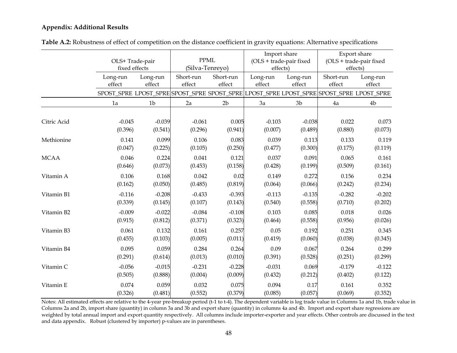|             |          | OLS+ Trade-pair<br>fixed effects |           | <b>PPML</b><br>(Silva-Tenreyo) |          | Import share<br>(OLS + trade-pair fixed<br>effects) |                                                                                         | Export share<br>(OLS + trade-pair fixed<br>effects) |  |
|-------------|----------|----------------------------------|-----------|--------------------------------|----------|-----------------------------------------------------|-----------------------------------------------------------------------------------------|-----------------------------------------------------|--|
|             | Long-run | Long-run                         | Short-run | Short-run                      | Long-run | Long-run                                            | Short-run                                                                               | Long-run                                            |  |
|             | effect   | effect                           | effect    | $\operatorname{effect}$        | effect   | effect                                              | effect                                                                                  | effect                                              |  |
|             |          |                                  |           |                                |          |                                                     | SPOST_SPRE LPOST_SPRE SPOST_SPRE SPOST_SPRE LPOST_SPRE LPOST_SPRE SPOST_SPRE LPOST_SPRE |                                                     |  |
|             | 1a       | 1 <sub>b</sub>                   | 2a        | 2 <sub>b</sub>                 | 3a       | 3 <sub>b</sub>                                      | 4a                                                                                      | 4 <sub>b</sub>                                      |  |
|             |          |                                  |           |                                |          |                                                     |                                                                                         |                                                     |  |
| Citric Acid | $-0.045$ | $-0.039$                         | $-0.061$  | 0.005                          | $-0.103$ | $-0.038$                                            | 0.022                                                                                   | 0.073                                               |  |
|             | (0.396)  | (0.541)                          | (0.296)   | (0.941)                        | (0.007)  | (0.489)                                             | (0.880)                                                                                 | (0.073)                                             |  |
| Methionine  | 0.141    | 0.099                            | 0.106     | 0.083                          | 0.039    | 0.113                                               | 0.133                                                                                   | 0.119                                               |  |
|             | (0.047)  | (0.225)                          | (0.105)   | (0.250)                        | (0.477)  | (0.300)                                             | (0.175)                                                                                 | (0.119)                                             |  |
| <b>MCAA</b> | 0.046    | 0.224                            | 0.041     | 0.121                          | 0.037    | 0.091                                               | 0.065                                                                                   | 0.161                                               |  |
|             | (0.646)  | (0.073)                          | (0.453)   | (0.158)                        | (0.428)  | (0.199)                                             | (0.509)                                                                                 | (0.161)                                             |  |
| Vitamin A   | 0.106    | 0.168                            | 0.042     | 0.02                           | 0.149    | 0.272                                               | 0.156                                                                                   | 0.234                                               |  |
|             | (0.162)  | (0.050)                          | (0.485)   | (0.819)                        | (0.064)  | (0.066)                                             | (0.242)                                                                                 | (0.234)                                             |  |
| Vitamin B1  | $-0.116$ | $-0.208$                         | $-0.433$  | $-0.393$                       | $-0.113$ | $-0.135$                                            | $-0.282$                                                                                | $-0.202$                                            |  |
|             | (0.339)  | (0.145)                          | (0.107)   | (0.143)                        | (0.540)  | (0.558)                                             | (0.710)                                                                                 | (0.202)                                             |  |
| Vitamin B2  | $-0.009$ | $-0.022$                         | $-0.084$  | $-0.108$                       | 0.103    | 0.085                                               | 0.018                                                                                   | 0.026                                               |  |
|             | (0.915)  | (0.812)                          | (0.371)   | (0.323)                        | (0.464)  | (0.558)                                             | (0.956)                                                                                 | (0.026)                                             |  |
| Vitamin B3  | 0.061    | 0.132                            | 0.161     | 0.257                          | 0.05     | 0.192                                               | 0.251                                                                                   | 0.345                                               |  |
|             | (0.455)  | (0.103)                          | (0.005)   | (0.011)                        | (0.419)  | (0.060)                                             | (0.038)                                                                                 | (0.345)                                             |  |
| Vitamin B4  | 0.095    | 0.059                            | 0.284     | 0.264                          | 0.09     | 0.067                                               | 0.264                                                                                   | 0.299                                               |  |
|             | (0.291)  | (0.614)                          | (0.013)   | (0.010)                        | (0.391)  | (0.528)                                             | (0.251)                                                                                 | (0.299)                                             |  |
| Vitamin C   | $-0.056$ | $-0.015$                         | $-0.231$  | $-0.228$                       | $-0.031$ | 0.069                                               | $-0.179$                                                                                | $-0.122$                                            |  |
|             | (0.505)  | (0.888)                          | (0.004)   | (0.009)                        | (0.432)  | (0.212)                                             | (0.402)                                                                                 | (0.122)                                             |  |
| Vitamin E   | 0.074    | 0.059                            | 0.032     | 0.075                          | 0.094    | 0.17                                                | 0.161                                                                                   | 0.352                                               |  |
|             | (0.326)  | (0.481)                          | (0.552)   | (0.379)                        | (0.085)  | (0.057)                                             | (0.069)                                                                                 | (0.352)                                             |  |

**Table A.2:** Robustness of effect of competition on the distance coefficient in gravity equations: Alternative specifications

Notes: All estimated effects are relative to the 4-year pre-breakup period (t-1 to t-4). The dependent variable is log trade value in Columns 1a and 1b, trade value in Columns 2a and 2b, import share (quantity) in column 3a and 3b and export share (quantity) in columns 4a and 4b. Import and export share regressions are weighted by total annual import and export quantity respectively. All columns include importer-exporter and year effects. Other controls are discussed in the text and data appendix. Robust (clustered by importer) p-values are in parentheses.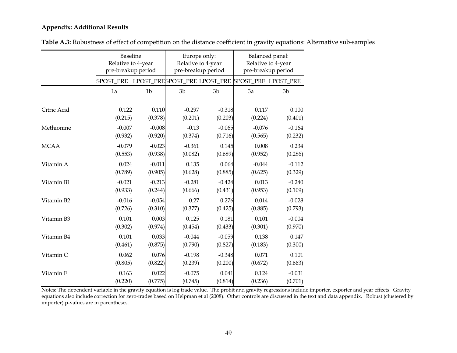|             | <b>Baseline</b><br>Relative to 4-year<br>pre-breakup period |          | Europe only:<br>Relative to 4-year<br>pre-breakup period |                | Balanced panel:<br>Relative to 4-year<br>pre-breakup period |          |  |
|-------------|-------------------------------------------------------------|----------|----------------------------------------------------------|----------------|-------------------------------------------------------------|----------|--|
|             | SPOST_PRE LPOST_PRESPOST_PRE LPOST_PRE                      |          |                                                          |                | SPOST_PRE LPOST_PRE                                         |          |  |
|             | 1a                                                          | 1b       | 3 <sub>b</sub>                                           | 3 <sub>b</sub> | 3a                                                          | 3b       |  |
|             |                                                             |          |                                                          |                |                                                             |          |  |
| Citric Acid | 0.122                                                       | 0.110    | $-0.297$                                                 | $-0.318$       | 0.117                                                       | 0.100    |  |
|             | (0.215)                                                     | (0.378)  | (0.201)                                                  | (0.203)        | (0.224)                                                     | (0.401)  |  |
| Methionine  | $-0.007$                                                    | $-0.008$ | $-0.13$                                                  | $-0.065$       | $-0.076$                                                    | $-0.164$ |  |
|             | (0.932)                                                     | (0.920)  | (0.374)                                                  | (0.716)        | (0.565)                                                     | (0.232)  |  |
| MCAA        | $-0.079$                                                    | $-0.023$ | $-0.361$                                                 | 0.145          | 0.008                                                       | 0.234    |  |
|             | (0.553)                                                     | (0.938)  | (0.082)                                                  | (0.689)        | (0.952)                                                     | (0.286)  |  |
| Vitamin A   | 0.024                                                       | $-0.011$ | 0.135                                                    | 0.064          | $-0.044$                                                    | $-0.112$ |  |
|             | (0.789)                                                     | (0.905)  | (0.628)                                                  | (0.885)        | (0.625)                                                     | (0.329)  |  |
| Vitamin B1  | $-0.021$                                                    | $-0.213$ | $-0.281$                                                 | $-0.424$       | 0.013                                                       | $-0.240$ |  |
|             | (0.933)                                                     | (0.244)  | (0.666)                                                  | (0.431)        | (0.953)                                                     | (0.109)  |  |
| Vitamin B2  | $-0.016$                                                    | $-0.054$ | 0.27                                                     | 0.276          | 0.014                                                       | $-0.028$ |  |
|             | (0.726)                                                     | (0.310)  | (0.377)                                                  | (0.425)        | (0.885)                                                     | (0.793)  |  |
| Vitamin B3  | 0.101                                                       | 0.003    | 0.125                                                    | 0.181          | 0.101                                                       | $-0.004$ |  |
|             | (0.302)                                                     | (0.974)  | (0.454)                                                  | (0.433)        | (0.301)                                                     | (0.970)  |  |
| Vitamin B4  | 0.101                                                       | 0.033    | $-0.044$                                                 | $-0.059$       | 0.138                                                       | 0.147    |  |
|             | (0.461)                                                     | (0.875)  | (0.790)                                                  | (0.827)        | (0.183)                                                     | (0.300)  |  |
| Vitamin C   | 0.062                                                       | 0.076    | $-0.198$                                                 | $-0.348$       | 0.071                                                       | 0.101    |  |
|             | (0.805)                                                     | (0.822)  | (0.239)                                                  | (0.200)        | (0.672)                                                     | (0.663)  |  |
| Vitamin E   | 0.163                                                       | 0.022    | $-0.075$                                                 | 0.041          | 0.124                                                       | $-0.031$ |  |
|             | (0.220)                                                     | (0.775)  | (0.745)                                                  | (0.814)        | (0.236)                                                     | (0.701)  |  |

**Table A.3:** Robustness of effect of competition on the distance coefficient in gravity equations: Alternative sub-samples

Notes: The dependent variable in the gravity equation is log trade value. The probit and gravity regressions include importer, exporter and year effects. Gravity equations also include correction for zero-trades based on Helpman et al (2008). Other controls are discussed in the text and data appendix. Robust (clustered by importer) p-values are in parentheses.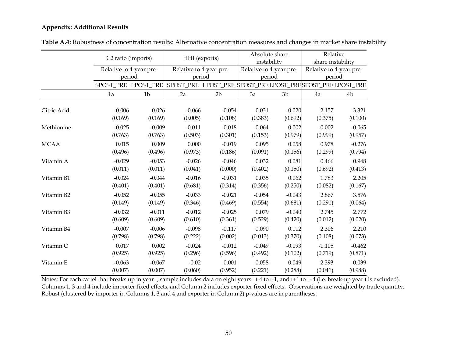|             |                     | C2 ratio (imports)<br>Relative to 4-year pre-<br>period |          | HHI (exports)<br>Relative to 4-year pre-<br>period |          | Absolute share<br>instability<br>Relative to 4-year pre-<br>period |                                                          | Relative<br>share instability     |
|-------------|---------------------|---------------------------------------------------------|----------|----------------------------------------------------|----------|--------------------------------------------------------------------|----------------------------------------------------------|-----------------------------------|
|             |                     |                                                         |          |                                                    |          |                                                                    |                                                          | Relative to 4-year pre-<br>period |
|             | SPOST_PRE LPOST_PRE |                                                         |          |                                                    |          |                                                                    | SPOST_PRE LPOST_PRE SPOST_PRELPOST_PRESPOST_PRELPOST_PRE |                                   |
|             | 1a                  | 1 <sub>b</sub>                                          | 2a       | 2 <sub>b</sub>                                     | 3a       | 3 <sub>b</sub>                                                     | 4a                                                       | 4b                                |
| Citric Acid | $-0.006$            | 0.026                                                   | $-0.066$ | $-0.054$                                           | $-0.031$ | $-0.020$                                                           | 2.157                                                    | 3.321                             |
|             | (0.169)             | (0.169)                                                 | (0.005)  | (0.108)                                            | (0.383)  | (0.692)                                                            | (0.375)                                                  | (0.100)                           |
| Methionine  | $-0.025$            | $-0.009$                                                | $-0.011$ | $-0.018$                                           | $-0.064$ | 0.002                                                              | $-0.002$                                                 | $-0.065$                          |
|             | (0.763)             | (0.763)                                                 | (0.503)  | (0.301)                                            | (0.153)  | (0.979)                                                            | (0.999)                                                  | (0.957)                           |
| <b>MCAA</b> | 0.015               | 0.009                                                   | 0.000    | $-0.019$                                           | 0.095    | 0.058                                                              | 0.978                                                    | $-0.276$                          |
|             | (0.496)             | (0.496)                                                 | (0.973)  | (0.186)                                            | (0.091)  | (0.156)                                                            | (0.299)                                                  | (0.794)                           |
| Vitamin A   | $-0.029$            | $-0.053$                                                | $-0.026$ | $-0.046$                                           | 0.032    | 0.081                                                              | 0.466                                                    | 0.948                             |
|             | (0.011)             | (0.011)                                                 | (0.041)  | (0.000)                                            | (0.402)  | (0.150)                                                            | (0.692)                                                  | (0.413)                           |
| Vitamin B1  | $-0.024$            | $-0.044$                                                | $-0.016$ | $-0.031$                                           | 0.035    | 0.062                                                              | 1.783                                                    | 2.205                             |
|             | (0.401)             | (0.401)                                                 | (0.681)  | (0.314)                                            | (0.356)  | (0.250)                                                            | (0.082)                                                  | (0.167)                           |
| Vitamin B2  | $-0.052$            | $-0.055$                                                | $-0.033$ | $-0.021$                                           | $-0.054$ | $-0.043$                                                           | 2.867                                                    | 3.576                             |
|             | (0.149)             | (0.149)                                                 | (0.346)  | (0.469)                                            | (0.554)  | (0.681)                                                            | (0.291)                                                  | (0.064)                           |
| Vitamin B3  | $-0.032$            | $-0.011$                                                | $-0.012$ | $-0.025$                                           | 0.079    | $-0.040$                                                           | 2.745                                                    | 2.772                             |
|             | (0.609)             | (0.609)                                                 | (0.610)  | (0.361)                                            | (0.529)  | (0.420)                                                            | (0.012)                                                  | (0.020)                           |
| Vitamin B4  | $-0.007$            | $-0.006$                                                | $-0.098$ | $-0.117$                                           | 0.090    | 0.112                                                              | 2.306                                                    | 2.210                             |
|             | (0.798)             | (0.798)                                                 | (0.222)  | (0.002)                                            | (0.013)  | (0.370)                                                            | (0.108)                                                  | (0.073)                           |
| Vitamin C   | 0.017               | 0.002                                                   | $-0.024$ | $-0.012$                                           | $-0.049$ | $-0.093$                                                           | $-1.105$                                                 | $-0.462$                          |
|             | (0.925)             | (0.925)                                                 | (0.296)  | (0.596)                                            | (0.492)  | (0.102)                                                            | (0.719)                                                  | (0.871)                           |
| Vitamin E   | $-0.063$            | $-0.067$                                                | $-0.02$  | 0.001                                              | 0.058    | 0.049                                                              | 2.393                                                    | 0.039                             |
|             | (0.007)             | (0.007)                                                 | (0.060)  | (0.952)                                            | (0.221)  | (0.288)                                                            | (0.041)                                                  | (0.988)                           |

**Table A.4:** Robustness of concentration results: Alternative concentration measures and changes in market share instability

Notes: For each cartel that breaks up in year t, sample includes data on eight years: t-4 to t-1, and t+1 to t+4 (i.e. break-up year t is excluded). Columns 1, 3 and 4 include importer fixed effects, and Column 2 includes exporter fixed effects. Observations are weighted by trade quantity. Robust (clustered by importer in Columns 1, 3 and 4 and exporter in Column 2) p-values are in parentheses.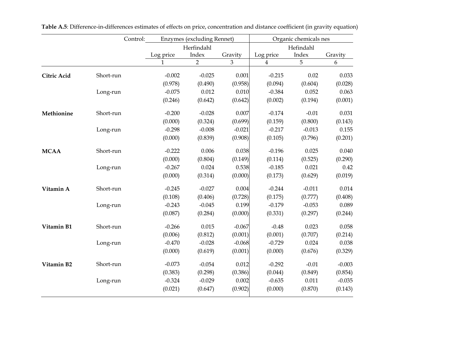|                    | Control:  | <b>Enzymes</b> (excluding Rennet) |                | Organic chemicals nes |           |          |          |
|--------------------|-----------|-----------------------------------|----------------|-----------------------|-----------|----------|----------|
|                    |           |                                   | Herfindahl     |                       | Hefindahl |          |          |
|                    |           | Log price                         | Index          | Gravity               | Log price | Index    | Gravity  |
|                    |           | 1                                 | $\overline{2}$ | 3                     | 4         | 5        | 6        |
| <b>Citric Acid</b> | Short-run | $-0.002$                          | $-0.025$       | 0.001                 | $-0.215$  | 0.02     | 0.033    |
|                    |           | (0.978)                           | (0.490)        | (0.958)               | (0.094)   | (0.604)  | (0.028)  |
|                    | Long-run  | $-0.075$                          | 0.012          | 0.010                 | $-0.384$  | 0.052    | 0.063    |
|                    |           | (0.246)                           | (0.642)        | (0.642)               | (0.002)   | (0.194)  | (0.001)  |
| Methionine         | Short-run | $-0.200$                          | $-0.028$       | 0.007                 | $-0.174$  | $-0.01$  | 0.031    |
|                    |           | (0.000)                           | (0.324)        | (0.699)               | (0.159)   | (0.800)  | (0.143)  |
|                    | Long-run  | $-0.298$                          | $-0.008$       | $-0.021$              | $-0.217$  | $-0.013$ | 0.155    |
|                    |           | (0.000)                           | (0.839)        | (0.908)               | (0.105)   | (0.796)  | (0.201)  |
| <b>MCAA</b>        | Short-run | $-0.222$                          | 0.006          | 0.038                 | $-0.196$  | 0.025    | 0.040    |
|                    |           | (0.000)                           | (0.804)        | (0.149)               | (0.114)   | (0.525)  | (0.290)  |
|                    | Long-run  | $-0.267$                          | 0.024          | 0.538                 | $-0.185$  | 0.021    | 0.42     |
|                    |           | (0.000)                           | (0.314)        | (0.000)               | (0.173)   | (0.629)  | (0.019)  |
| Vitamin A          | Short-run | $-0.245$                          | $-0.027$       | 0.004                 | $-0.244$  | $-0.011$ | 0.014    |
|                    |           | (0.108)                           | (0.406)        | (0.728)               | (0.175)   | (0.777)  | (0.408)  |
|                    | Long-run  | $-0.243$                          | $-0.045$       | 0.199                 | $-0.179$  | $-0.053$ | 0.089    |
|                    |           | (0.087)                           | (0.284)        | (0.000)               | (0.331)   | (0.297)  | (0.244)  |
| Vitamin B1         | Short-run | $-0.266$                          | 0.015          | $-0.067$              | $-0.48$   | 0.023    | 0.058    |
|                    |           | (0.006)                           | (0.812)        | (0.001)               | (0.001)   | (0.707)  | (0.214)  |
|                    | Long-run  | $-0.470$                          | $-0.028$       | $-0.068$              | $-0.729$  | 0.024    | 0.038    |
|                    |           | (0.000)                           | (0.619)        | (0.001)               | (0.000)   | (0.676)  | (0.329)  |
| Vitamin B2         | Short-run | $-0.073$                          | $-0.054$       | 0.012                 | $-0.292$  | $-0.01$  | $-0.003$ |
|                    |           | (0.383)                           | (0.298)        | (0.386)               | (0.044)   | (0.849)  | (0.854)  |
|                    | Long-run  | $-0.324$                          | $-0.029$       | 0.002                 | $-0.635$  | 0.011    | $-0.035$ |
|                    |           | (0.021)                           | (0.647)        | (0.902)               | (0.000)   | (0.870)  | (0.143)  |

**Table A.5**: Difference-in-differences estimates of effects on price, concentration and distance coefficient (in gravity equation)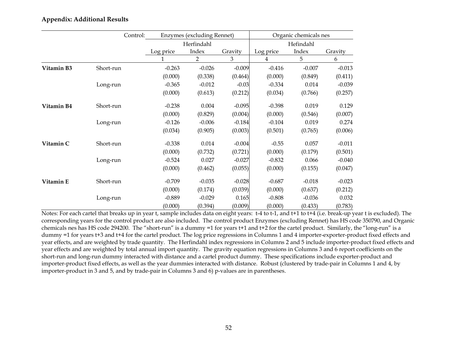|            | Control:  | <b>Enzymes (excluding Rennet)</b> |                | Organic chemicals nes |           |          |          |
|------------|-----------|-----------------------------------|----------------|-----------------------|-----------|----------|----------|
|            |           |                                   | Herfindahl     |                       | Hefindahl |          |          |
|            |           | Log price                         | Index          | Gravity               | Log price | Index    | Gravity  |
|            |           |                                   | $\overline{2}$ | 3                     | 4         | 5        | 6        |
| Vitamin B3 | Short-run | $-0.263$                          | $-0.026$       | $-0.009$              | $-0.416$  | $-0.007$ | $-0.013$ |
|            |           | (0.000)                           | (0.338)        | (0.464)               | (0.000)   | (0.849)  | (0.411)  |
|            | Long-run  | $-0.365$                          | $-0.012$       | $-0.03$               | $-0.334$  | 0.014    | $-0.039$ |
|            |           | (0.000)                           | (0.613)        | (0.212)               | (0.034)   | (0.766)  | (0.257)  |
| Vitamin B4 | Short-run | $-0.238$                          | 0.004          | $-0.095$              | $-0.398$  | 0.019    | 0.129    |
|            |           | (0.000)                           | (0.829)        | (0.004)               | (0.000)   | (0.546)  | (0.007)  |
|            | Long-run  | $-0.126$                          | $-0.006$       | $-0.184$              | $-0.104$  | 0.019    | 0.274    |
|            |           | (0.034)                           | (0.905)        | (0.003)               | (0.501)   | (0.765)  | (0.006)  |
| Vitamin C  | Short-run | $-0.338$                          | 0.014          | $-0.004$              | $-0.55$   | 0.057    | $-0.011$ |
|            |           | (0.000)                           | (0.732)        | (0.721)               | (0.000)   | (0.179)  | (0.501)  |
|            | Long-run  | $-0.524$                          | 0.027          | $-0.027$              | $-0.832$  | 0.066    | $-0.040$ |
|            |           | (0.000)                           | (0.462)        | (0.055)               | (0.000)   | (0.155)  | (0.047)  |
| Vitamin E  | Short-run | $-0.709$                          | $-0.035$       | $-0.028$              | $-0.687$  | $-0.018$ | $-0.023$ |
|            |           | (0.000)                           | (0.174)        | (0.039)               | (0.000)   | (0.637)  | (0.212)  |
|            | Long-run  | $-0.889$                          | $-0.029$       | 0.165                 | $-0.808$  | $-0.036$ | 0.032    |
|            |           | (0.000)                           | (0.394)        | (0.009)               | (0.000)   | (0.433)  | (0.783)  |

Notes: For each cartel that breaks up in year t, sample includes data on eight years: t-4 to t-1, and t+1 to t+4 (i.e. break-up year t is excluded). The corresponding years for the control product are also included. The control product Enzymes (excluding Rennet) has HS code 350790, and Organic chemicals nes has HS code 294200. The "short-run" is a dummy =1 for years t+1 and t+2 for the cartel product. Similarly, the "long-run" is a dummy =1 for years t+3 and t+4 for the cartel product. The log price regressions in Columns 1 and 4 importer-exporter-product fixed effects and year effects, and are weighted by trade quantity. The Herfindahl index regressions in Columns 2 and 5 include importer-product fixed effects and year effects and are weighted by total annual import quantity. The gravity equation regressions in Columns 3 and 6 report coefficients on the short-run and long-run dummy interacted with distance and a cartel product dummy. These specifications include exporter-product and importer-product fixed effects, as well as the year dummies interacted with distance. Robust (clustered by trade-pair in Columns 1 and 4, by importer-product in 3 and 5, and by trade-pair in Columns 3 and 6) p-values are in parentheses.